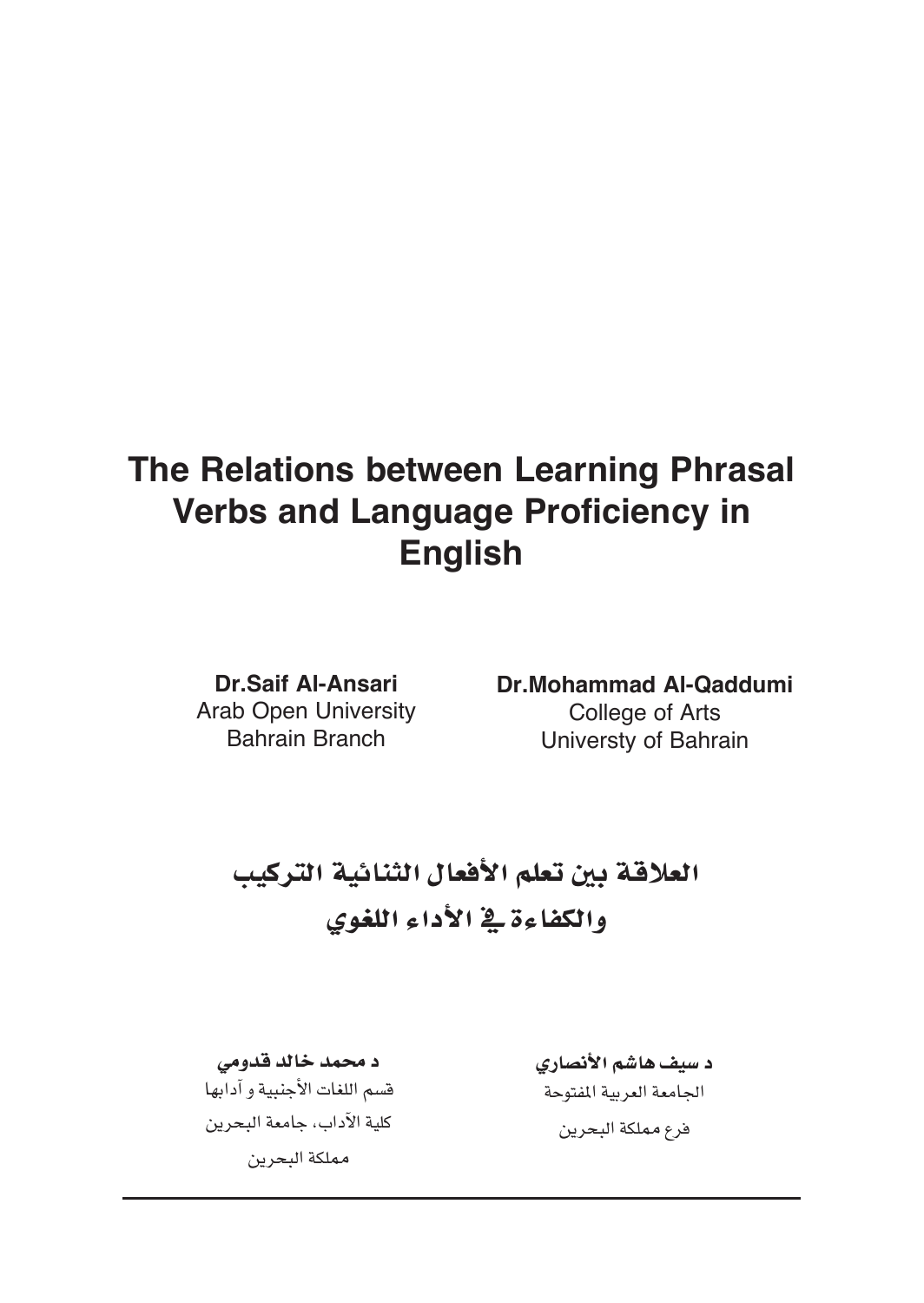# **The Relations between Learning Phrasal Verbs and Language Proficiency in English**

**Dr.Saif Al-Ansari** Arab Open University Bahrain Branch

**Dr.Mohammad Al-Qaddumi** College of Arts Universty of Bahrain

# العلاقة بين تعلم الأفعال الثنائية التركيب والكفاءة في الأداء اللغوي

د محمد خالد قدومي <sub>قسم</sub> اللغات الأجنبية و آدابها كلية الآداب، جامعة البحرين مملكة البحرين

د سيف هاشم الأنصاري الجامعة العربية المفتوحة فرع مملكة البحرين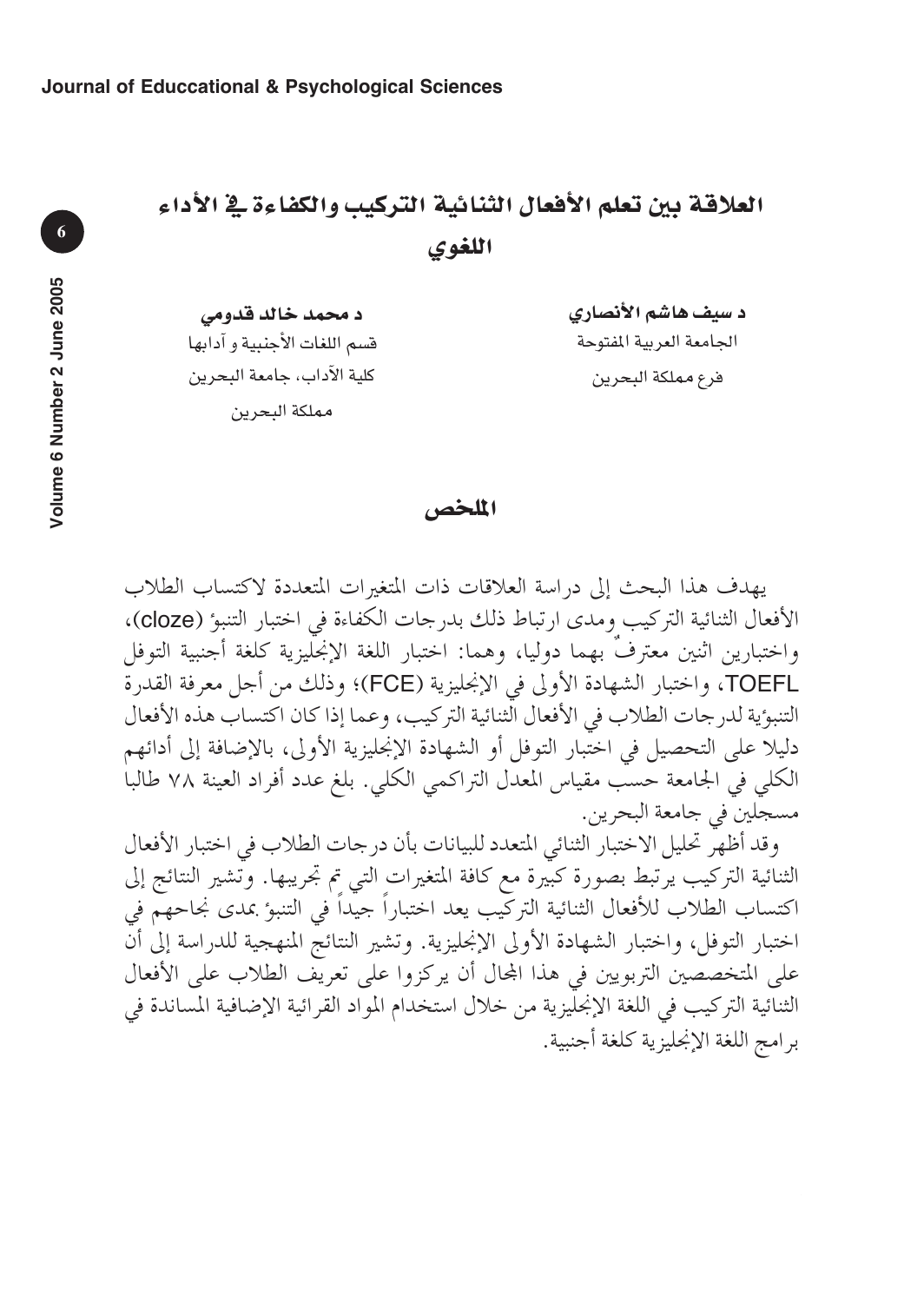# العلاقة بين تعلم الأفعال الثنائية التركيب والكفاءة <u>ب</u> الأداء اللغوي

د سيف هاشم الأنصار*ي* الجامعة العربية المفتوحة فرع مملكة البحرين

د محمد خالد قدومي قسم اللغات الأجنبية و آدابها كلية الآداب، جامعة البحرين مملكة البحرين

الملخص

يهدف هذا البحث إلى دراسة العلاقات ذات المتغيرات المتعددة لاكتساب الطلاب الأفعال الثنائية التركيب ومدى ارتباط ذلك بدرجات الكفاءة في اختبار التنبو' (cloze)، واختبارين اثنين معترفٌ بهما دوليا، وهما: اختبار اللغة الإنجليزية كلغة أجنبية التوفل TOEFL، واختبار الشهادة الأولى في الإنجليزية (FCE)؛ وذلك من أجل معرفة القدرة التنبوئية لدرجات الطلاب في الأفعال الثنائية التركيب، وعما إذا كان اكتساب هذه الأفعال دليلا على التحصيل في اختبار التوفل أو الشهادة الإنجليزية الأولى، بالإضافة إلى أدائهم الكلى في الجامعة حسب مقياس المعدل التراكمي الكلي. بلغ عدد أفراد العينة ٧٨ طالبا مسجلين في جامعة البحرين.

وقد أظهر تحليل الاختبار الثنائي المتعدد للبيانات بأن درجات الطلاب في اختبار الأفعال الثنائية التركيب يرتبط بصورة كبيرة مع كافة المتغيرات التي تم تجريبها. وتشير النتائج إلى اكتساب الطلاب للأفعال الثنائية التركيب يعد اختباراً جيّداً في التنبو<sup>ء</sup> بمدى نجاحهم في اختبار التوفل، واختبار الشهادة الأولى الإنجليزية. وتشير النتائج المنهجية للدراسة إلى أن على المتخصصين التربويين في هذا المحال أن يركزوا على تعريّف الطلاب على الأفعال الثنائية التركيب في اللغة الإنجليزية من خلال استخدام المواد القرائية الإضافية المساندة في بر امج اللغة الإنجليزية كلغة أجنبية.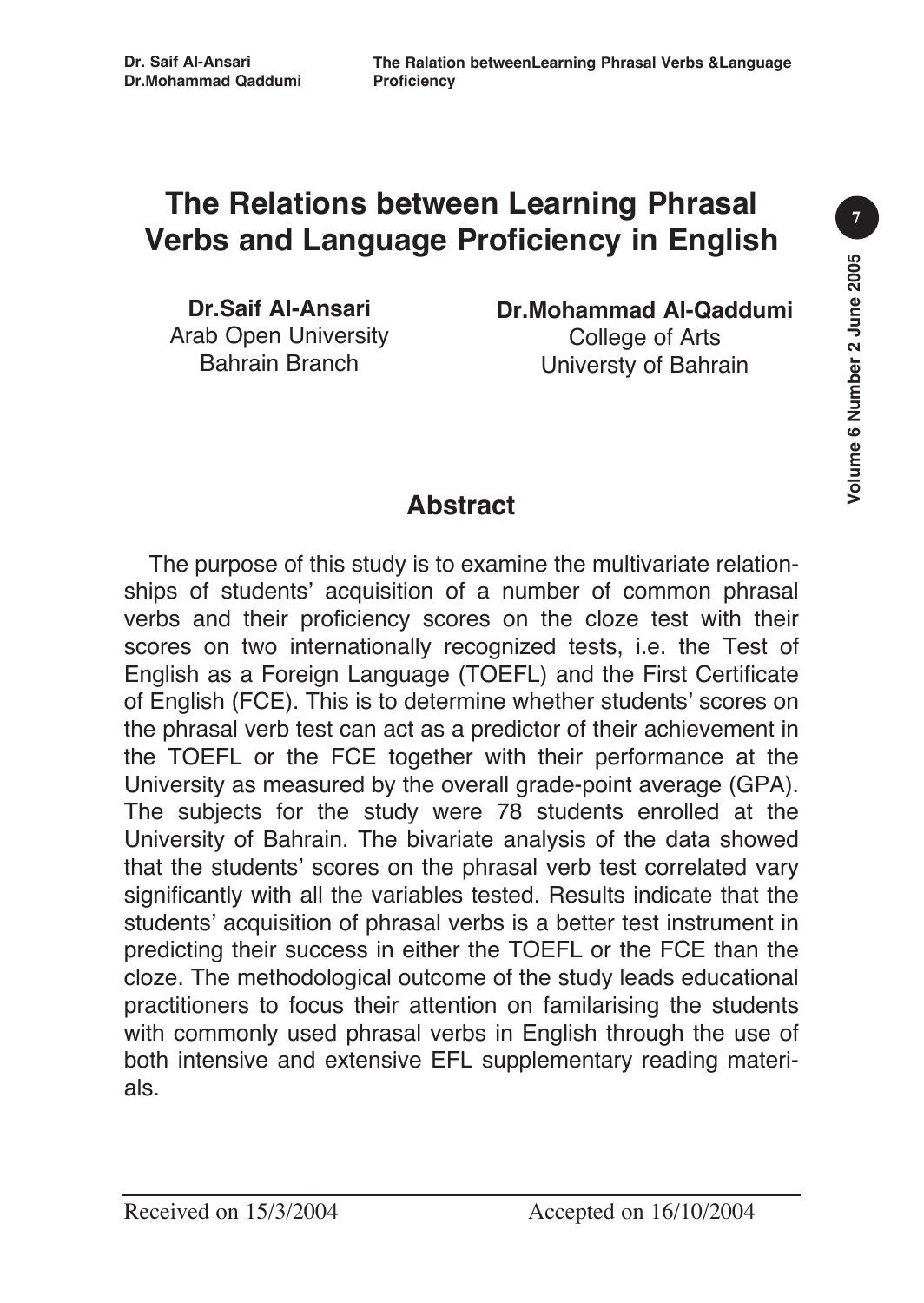# **The Relations between Learning Phrasal Verbs and Language Proficiency in English**

**Dr.Saif Al-Ansari** Arab Open University Bahrain Branch

**Dr.Mohammad Al-Qaddumi** College of Arts Universty of Bahrain

## **Abstract**

The purpose of this study is to examine the multivariate relationships of students' acquisition of a number of common phrasal verbs and their proficiency scores on the cloze test with their scores on two internationally recognized tests, i.e. the Test of English as a Foreign Language (TOEFL) and the First Certificate of English (FCE). This is to determine whether students' scores on the phrasal verb test can act as a predictor of their achievement in the TOEFL or the FCE together with their performance at the University as measured by the overall grade-point average (GPA). The subjects for the study were 78 students enrolled at the University of Bahrain. The bivariate analysis of the data showed that the students' scores on the phrasal verb test correlated vary significantly with all the variables tested. Results indicate that the students' acquisition of phrasal verbs is a better test instrument in predicting their success in either the TOEFL or the FCE than the cloze. The methodological outcome of the study leads educational practitioners to focus their attention on familarising the students with commonly used phrasal verbs in English through the use of both intensive and extensive EFL supplementary reading materials.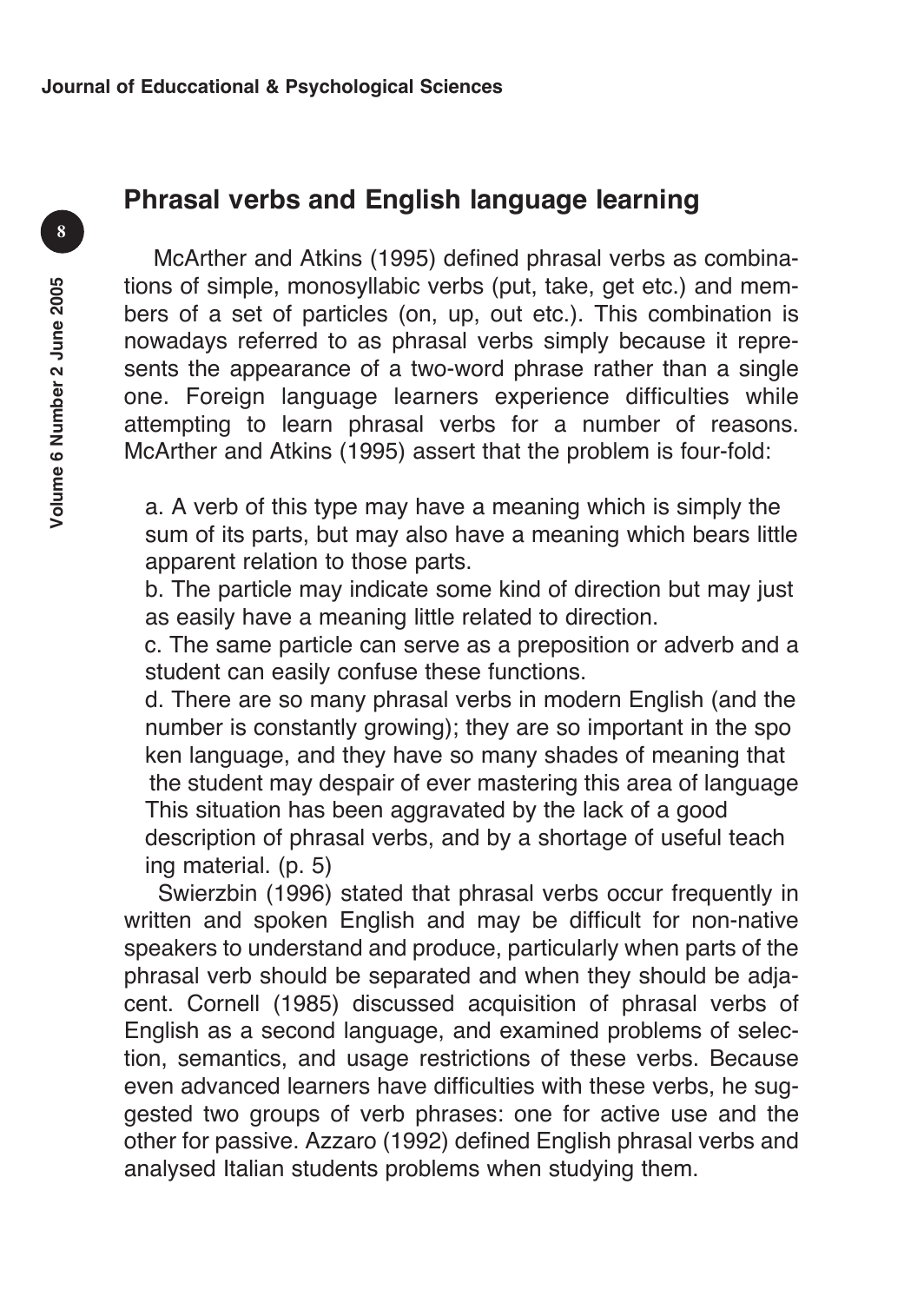## **Phrasal verbs and English language learning**

McArther and Atkins (1995) defined phrasal verbs as combinations of simple, monosyllabic verbs (put, take, get etc.) and members of a set of particles (on, up, out etc.). This combination is nowadays referred to as phrasal verbs simply because it represents the appearance of a two-word phrase rather than a single one. Foreign language learners experience difficulties while attempting to learn phrasal verbs for a number of reasons. McArther and Atkins (1995) assert that the problem is four-fold:

a. A verb of this type may have a meaning which is simply the sum of its parts, but may also have a meaning which bears little apparent relation to those parts.

b. The particle may indicate some kind of direction but may just as easily have a meaning little related to direction.

c. The same particle can serve as a preposition or adverb and a student can easily confuse these functions.

d. There are so many phrasal verbs in modern English (and the number is constantly growing); they are so important in the spo ken language, and they have so many shades of meaning that the student may despair of ever mastering this area of language This situation has been aggravated by the lack of a good description of phrasal verbs, and by a shortage of useful teach ing material. (p. 5)

Swierzbin (1996) stated that phrasal verbs occur frequently in written and spoken English and may be difficult for non-native speakers to understand and produce, particularly when parts of the phrasal verb should be separated and when they should be adjacent. Cornell (1985) discussed acquisition of phrasal verbs of English as a second language, and examined problems of selection, semantics, and usage restrictions of these verbs. Because even advanced learners have difficulties with these verbs, he suggested two groups of verb phrases: one for active use and the other for passive. Azzaro (1992) defined English phrasal verbs and analysed Italian students problems when studying them.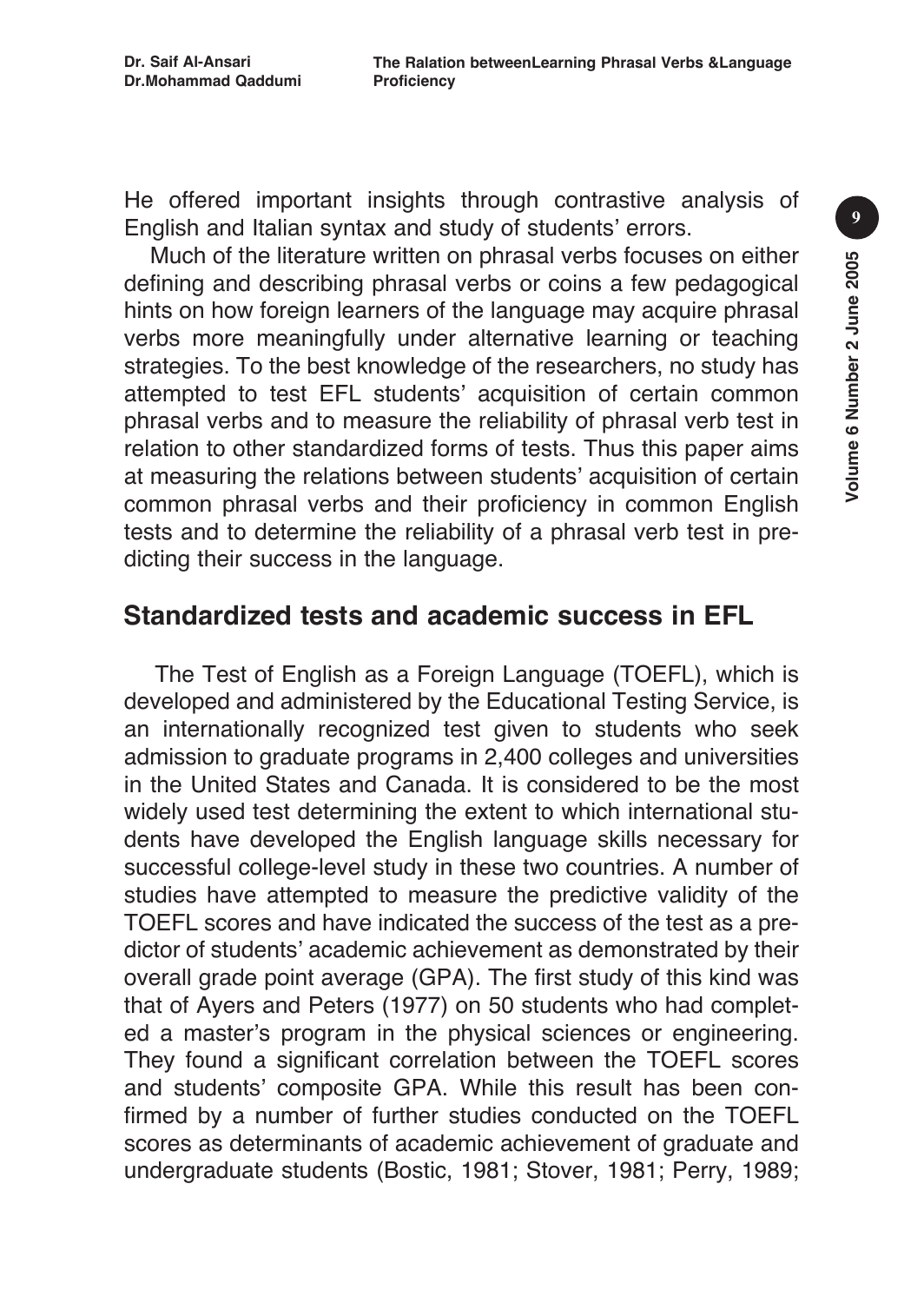He offered important insights through contrastive analysis of English and Italian syntax and study of students' errors.

Much of the literature written on phrasal verbs focuses on either defining and describing phrasal verbs or coins a few pedagogical hints on how foreign learners of the language may acquire phrasal verbs more meaningfully under alternative learning or teaching strategies. To the best knowledge of the researchers, no study has attempted to test EFL students' acquisition of certain common phrasal verbs and to measure the reliability of phrasal verb test in relation to other standardized forms of tests. Thus this paper aims at measuring the relations between students' acquisition of certain common phrasal verbs and their proficiency in common English tests and to determine the reliability of a phrasal verb test in predicting their success in the language.

## **Standardized tests and academic success in EFL**

The Test of English as a Foreign Language (TOEFL), which is developed and administered by the Educational Testing Service, is an internationally recognized test given to students who seek admission to graduate programs in 2,400 colleges and universities in the United States and Canada. It is considered to be the most widely used test determining the extent to which international students have developed the English language skills necessary for successful college-level study in these two countries. A number of studies have attempted to measure the predictive validity of the TOEFL scores and have indicated the success of the test as a predictor of students' academic achievement as demonstrated by their overall grade point average (GPA). The first study of this kind was that of Ayers and Peters (1977) on 50 students who had completed a master's program in the physical sciences or engineering. They found a significant correlation between the TOEFL scores and students' composite GPA. While this result has been confirmed by a number of further studies conducted on the TOEFL scores as determinants of academic achievement of graduate and undergraduate students (Bostic, 1981; Stover, 1981; Perry, 1989;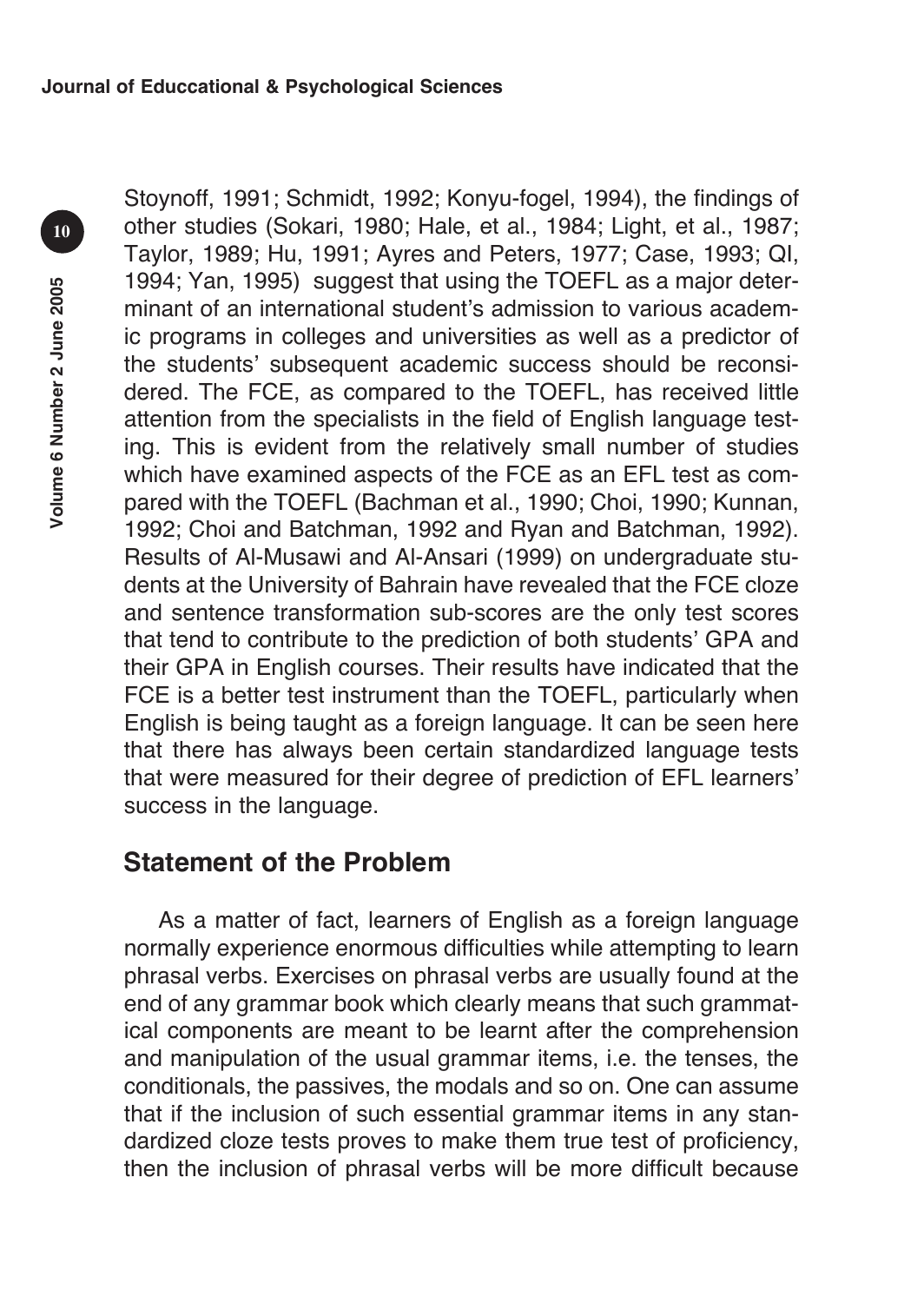Stoynoff, 1991; Schmidt, 1992; Konyu-fogel, 1994), the findings of other studies (Sokari, 1980; Hale, et al., 1984; Light, et al., 1987; Taylor, 1989; Hu, 1991; Ayres and Peters, 1977; Case, 1993; QI, 1994; Yan, 1995) suggest that using the TOEFL as a major determinant of an international student's admission to various academic programs in colleges and universities as well as a predictor of the students' subsequent academic success should be reconsidered. The FCE, as compared to the TOEFL, has received little attention from the specialists in the field of English language testing. This is evident from the relatively small number of studies which have examined aspects of the FCE as an EFL test as compared with the TOEFL (Bachman et al., 1990; Choi, 1990; Kunnan, 1992; Choi and Batchman, 1992 and Ryan and Batchman, 1992). Results of Al-Musawi and Al-Ansari (1999) on undergraduate students at the University of Bahrain have revealed that the FCE cloze and sentence transformation sub-scores are the only test scores that tend to contribute to the prediction of both students' GPA and their GPA in English courses. Their results have indicated that the FCE is a better test instrument than the TOEFL, particularly when English is being taught as a foreign language. It can be seen here that there has always been certain standardized language tests that were measured for their degree of prediction of EFL learners' success in the language.

### **Statement of the Problem**

As a matter of fact, learners of English as a foreign language normally experience enormous difficulties while attempting to learn phrasal verbs. Exercises on phrasal verbs are usually found at the end of any grammar book which clearly means that such grammatical components are meant to be learnt after the comprehension and manipulation of the usual grammar items, i.e. the tenses, the conditionals, the passives, the modals and so on. One can assume that if the inclusion of such essential grammar items in any standardized cloze tests proves to make them true test of proficiency, then the inclusion of phrasal verbs will be more difficult because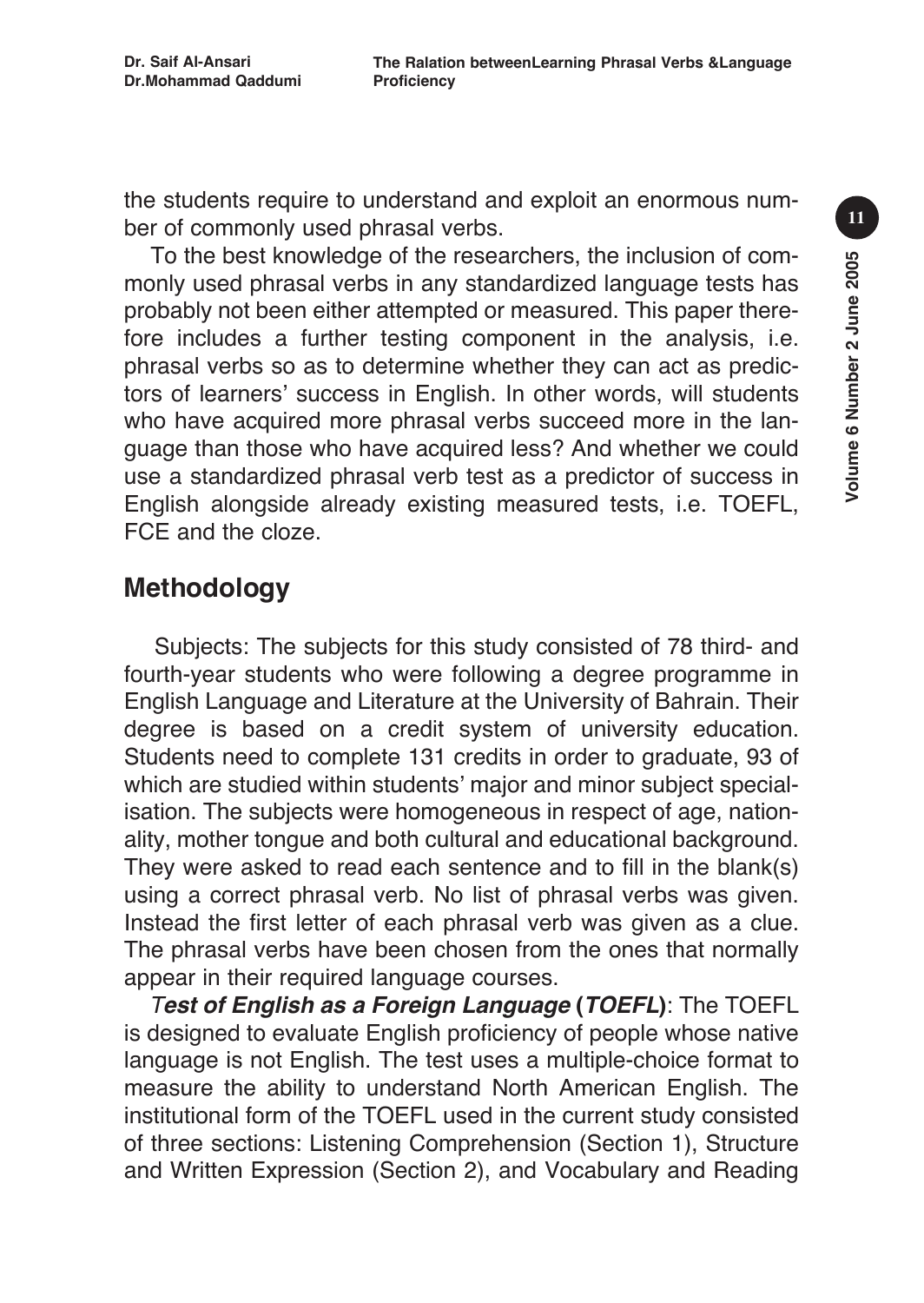the students require to understand and exploit an enormous number of commonly used phrasal verbs.

To the best knowledge of the researchers, the inclusion of commonly used phrasal verbs in any standardized language tests has probably not been either attempted or measured. This paper therefore includes a further testing component in the analysis, i.e. phrasal verbs so as to determine whether they can act as predictors of learners' success in English. In other words, will students who have acquired more phrasal verbs succeed more in the language than those who have acquired less? And whether we could use a standardized phrasal verb test as a predictor of success in English alongside already existing measured tests, i.e. TOEFL, FCE and the cloze.

## **Methodology**

Subjects: The subjects for this study consisted of 78 third- and fourth-year students who were following a degree programme in English Language and Literature at the University of Bahrain. Their degree is based on a credit system of university education. Students need to complete 131 credits in order to graduate, 93 of which are studied within students' major and minor subject specialisation. The subjects were homogeneous in respect of age, nationality, mother tongue and both cultural and educational background. They were asked to read each sentence and to fill in the blank(s) using a correct phrasal verb. No list of phrasal verbs was given. Instead the first letter of each phrasal verb was given as a clue. The phrasal verbs have been chosen from the ones that normally appear in their required language courses.

*Test of English as a Foreign Language* **(***TOEFL***)**: The TOEFL is designed to evaluate English proficiency of people whose native language is not English. The test uses a multiple-choice format to measure the ability to understand North American English. The institutional form of the TOEFL used in the current study consisted of three sections: Listening Comprehension (Section 1), Structure and Written Expression (Section 2), and Vocabulary and Reading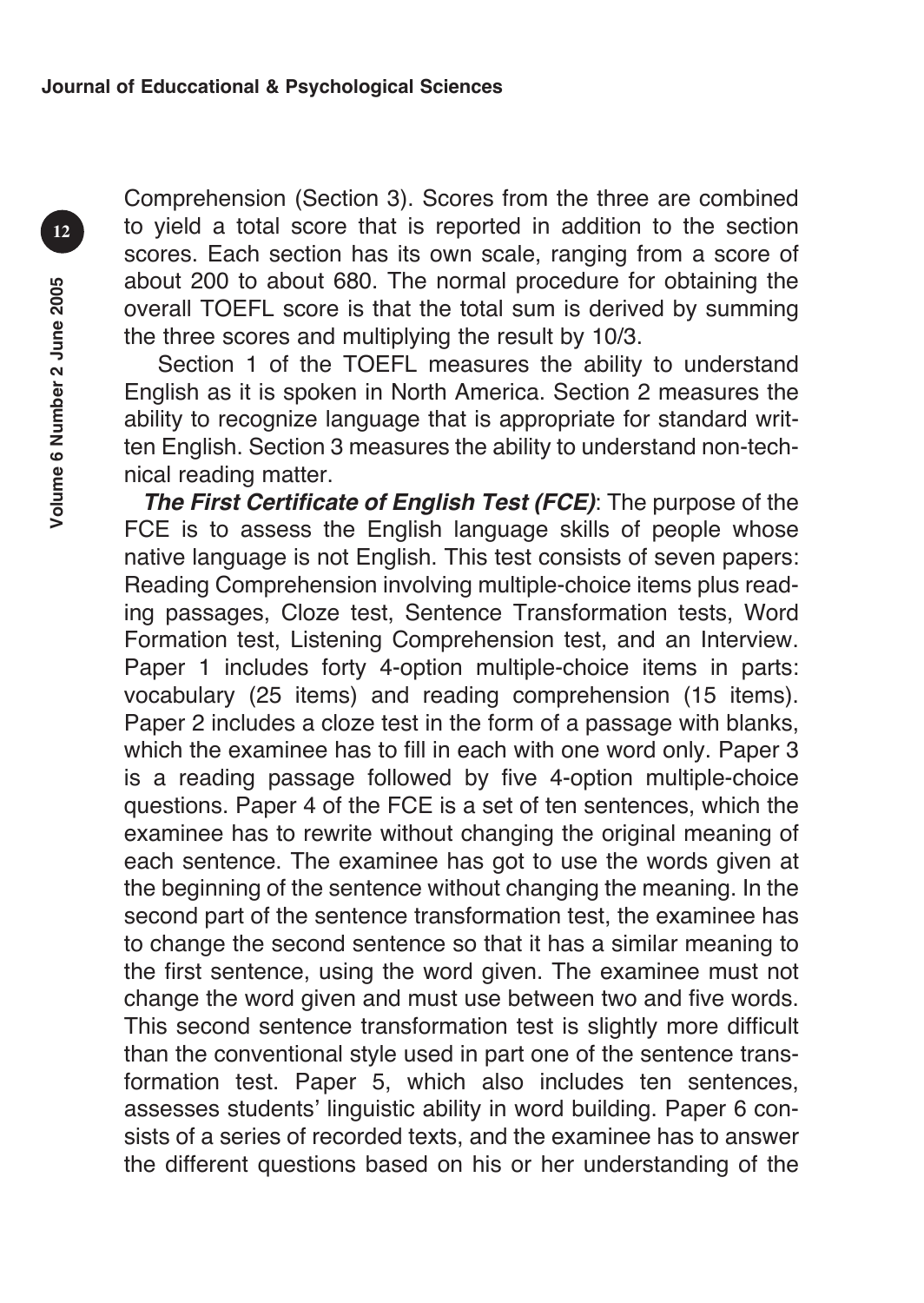Comprehension (Section 3). Scores from the three are combined to yield a total score that is reported in addition to the section scores. Each section has its own scale, ranging from a score of about 200 to about 680. The normal procedure for obtaining the overall TOEFL score is that the total sum is derived by summing the three scores and multiplying the result by 10/3.

Section 1 of the TOEFL measures the ability to understand English as it is spoken in North America. Section 2 measures the ability to recognize language that is appropriate for standard written English. Section 3 measures the ability to understand non-technical reading matter.

*The First Certificate of English Test (FCE)*: The purpose of the FCE is to assess the English language skills of people whose native language is not English. This test consists of seven papers: Reading Comprehension involving multiple-choice items plus reading passages, Cloze test, Sentence Transformation tests, Word Formation test, Listening Comprehension test, and an Interview. Paper 1 includes forty 4-option multiple-choice items in parts: vocabulary (25 items) and reading comprehension (15 items). Paper 2 includes a cloze test in the form of a passage with blanks, which the examinee has to fill in each with one word only. Paper 3 is a reading passage followed by five 4-option multiple-choice questions. Paper 4 of the FCE is a set of ten sentences, which the examinee has to rewrite without changing the original meaning of each sentence. The examinee has got to use the words given at the beginning of the sentence without changing the meaning. In the second part of the sentence transformation test, the examinee has to change the second sentence so that it has a similar meaning to the first sentence, using the word given. The examinee must not change the word given and must use between two and five words. This second sentence transformation test is slightly more difficult than the conventional style used in part one of the sentence transformation test. Paper 5, which also includes ten sentences, assesses students' linguistic ability in word building. Paper 6 consists of a series of recorded texts, and the examinee has to answer the different questions based on his or her understanding of the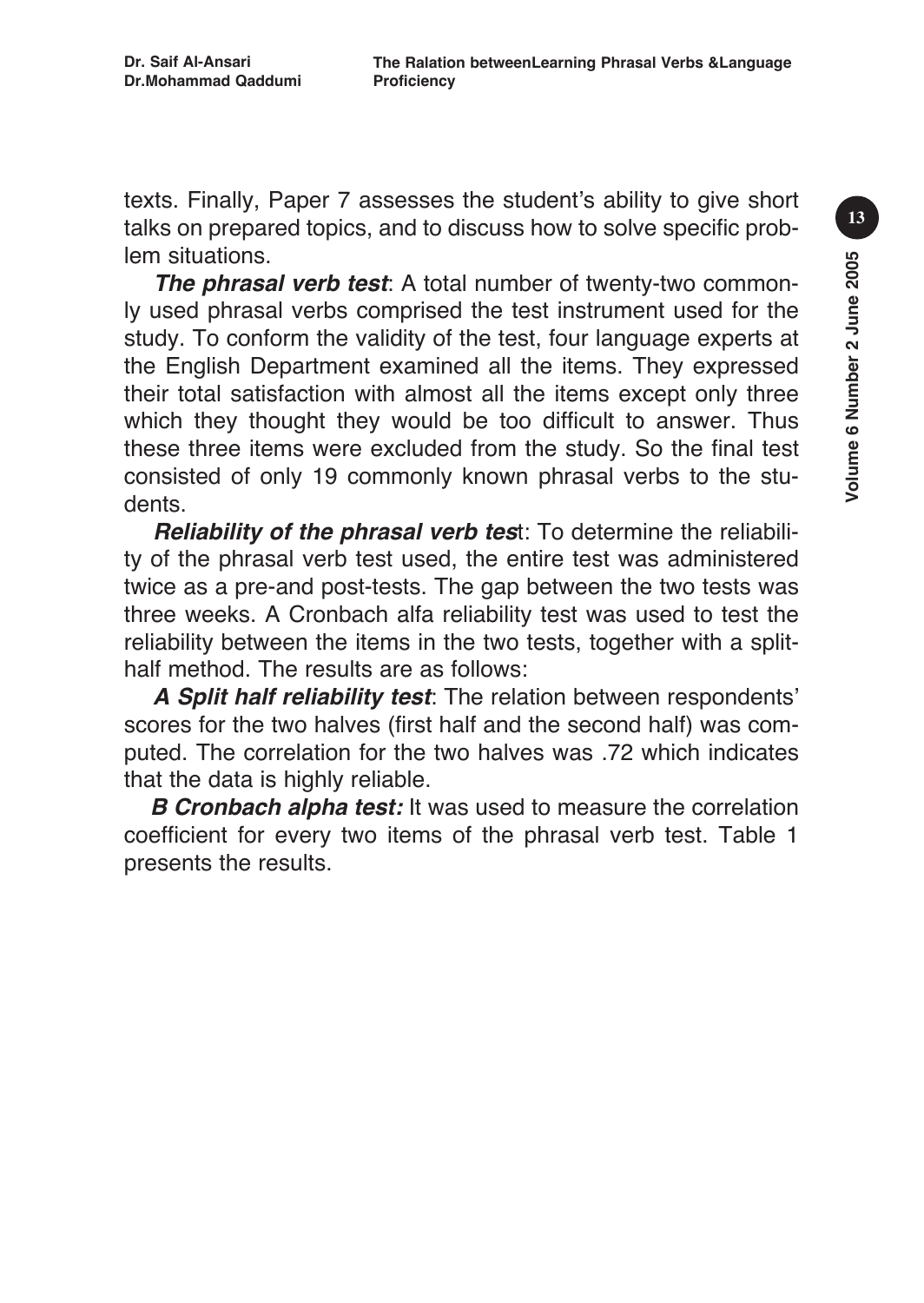texts. Finally, Paper 7 assesses the student's ability to give short talks on prepared topics, and to discuss how to solve specific problem situations.

*The phrasal verb test*: A total number of twenty-two commonly used phrasal verbs comprised the test instrument used for the study. To conform the validity of the test, four language experts at the English Department examined all the items. They expressed their total satisfaction with almost all the items except only three which they thought they would be too difficult to answer. Thus these three items were excluded from the study. So the final test consisted of only 19 commonly known phrasal verbs to the students.

*Reliability of the phrasal verb tes*t: To determine the reliability of the phrasal verb test used, the entire test was administered twice as a pre-and post-tests. The gap between the two tests was three weeks. A Cronbach alfa reliability test was used to test the reliability between the items in the two tests, together with a splithalf method. The results are as follows:

*A Split half reliability test*: The relation between respondents' scores for the two halves (first half and the second half) was computed. The correlation for the two halves was .72 which indicates that the data is highly reliable.

*B Cronbach alpha test:* It was used to measure the correlation coefficient for every two items of the phrasal verb test. Table 1 presents the results.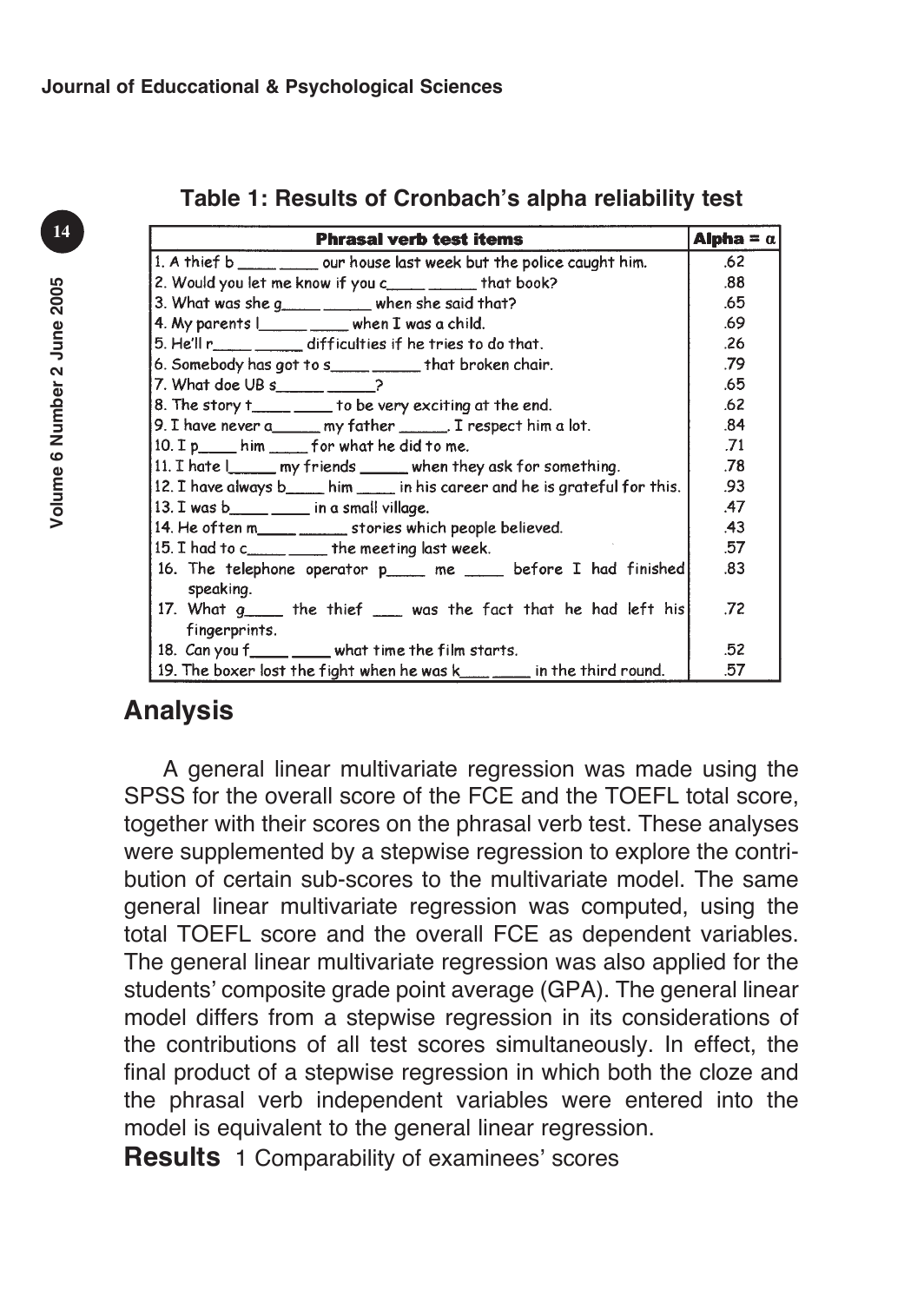**Phrasal verb test items** Alpha =  $\alpha$ 1. A thief b\_ \_ our house last week but the police caught him.  $.62$ 2. Would you let me know if you controlled that book? .88 3. What was she g\_\_\_\_\_\_\_\_when she said that?<br>4. My parents  $\lfloor \text{num} \rfloor$  when I was a child. .65 .69 5. He'll r\_\_\_\_\_ \_\_\_\_\_\_ difficulties if he tries to do that.  $.26$ 6. Somebody has got to s \_\_\_\_\_ \_\_\_\_\_\_ that broken chair. .79 7. What doe  $UBs$  2 .65 8. The story two metal to be very exciting at the end.  $.62$ 9. I have never a\_\_\_\_\_\_\_ my father \_\_\_\_\_\_\_\_ I respect him a lot.<br>10. I p\_\_\_\_\_\_ him \_\_\_\_\_\_ for what he did to me. .84 .71 11. I hate  $\lfloor$  my friends when they ask for something. .78 12. I have always b\_\_\_\_\_\_ him \_\_\_\_\_\_\_ in his career and he is grateful for this. .93 .47 13. I was b\_\_\_\_\_ \_\_\_\_\_ in a small village. .43 14. He often m\_\_\_\_\_ \_\_\_\_\_\_\_ stories which people believed. 15. I had to c\_\_\_\_\_\_ \_\_\_\_\_ the meeting last week. .57 16. The telephone operator p\_\_\_\_ me \_\_\_\_ before I had finished .83 speaking. 17. What g\_\_\_\_\_ the thief \_\_\_\_ was the fact that he had left his .72 fingerprints. 18. Can you f\_  $\frac{1}{\sqrt{2}}$  what time the film starts.  $.52$ 19. The boxer lost the fight when he was k\_\_\_\_\_ in the third round. .57

#### **Table 1: Results of Cronbach's alpha reliability test**

## **Analysis**

A general linear multivariate regression was made using the SPSS for the overall score of the FCE and the TOEFL total score, together with their scores on the phrasal verb test. These analyses were supplemented by a stepwise regression to explore the contribution of certain sub-scores to the multivariate model. The same general linear multivariate regression was computed, using the total TOEFL score and the overall FCE as dependent variables. The general linear multivariate regression was also applied for the students' composite grade point average (GPA). The general linear model differs from a stepwise regression in its considerations of the contributions of all test scores simultaneously. In effect, the final product of a stepwise regression in which both the cloze and the phrasal verb independent variables were entered into the model is equivalent to the general linear regression.

**Results** 1 Comparability of examinees' scores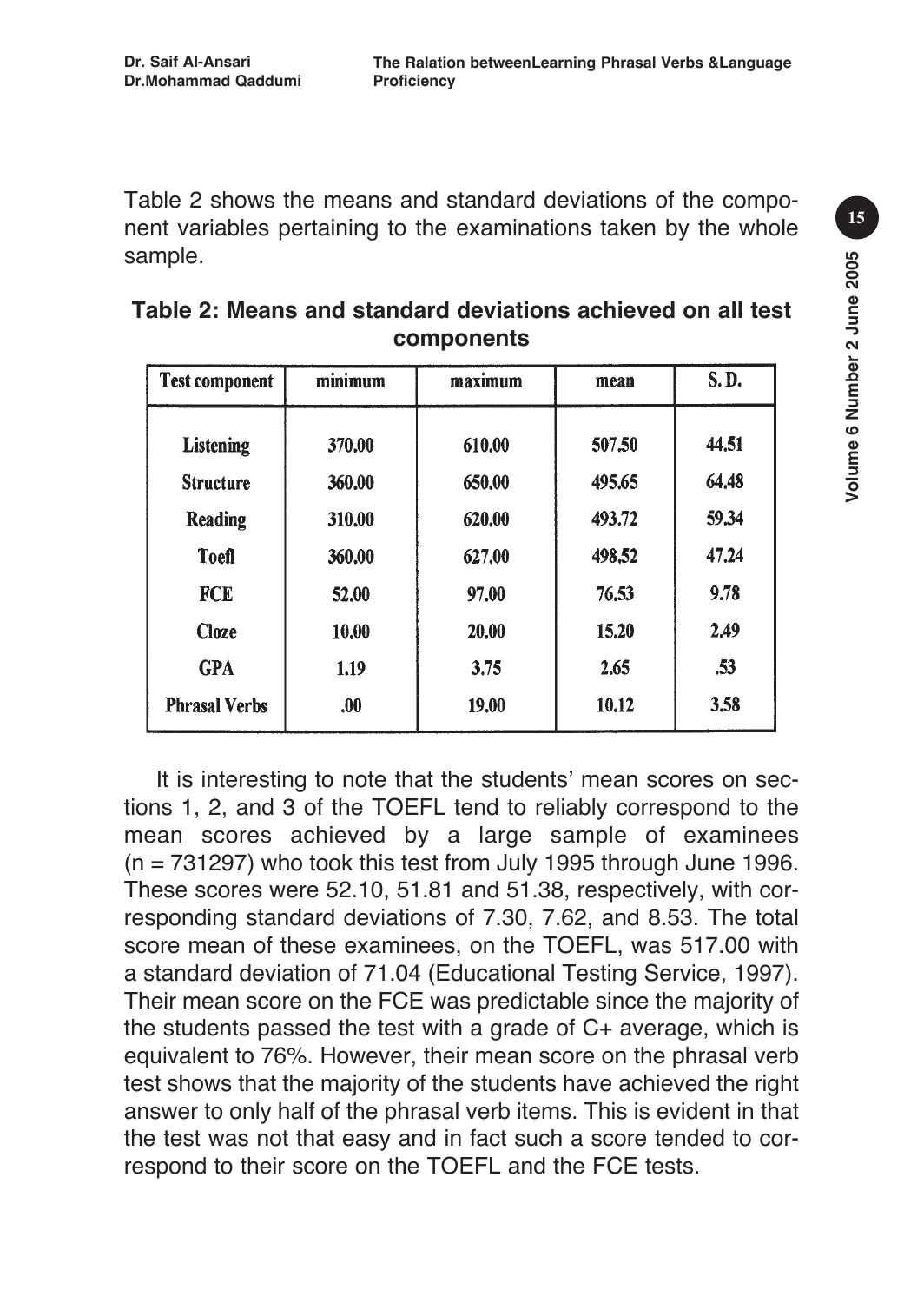Table 2 shows the means and standard deviations of the component variables pertaining to the examinations taken by the whole sample.

| <b>Test component</b> | minimum | maximum | mean   | S.D.  |
|-----------------------|---------|---------|--------|-------|
| <b>Listening</b>      | 370.00  | 610.00  | 507.50 | 44.51 |
| <b>Structure</b>      | 360.00  | 650.00  | 495.65 | 64.48 |
| <b>Reading</b>        | 310.00  | 620.00  | 493.72 | 59.34 |
| <b>Toefl</b>          | 360.00  | 627.00  | 498.52 | 47.24 |
| FCE                   | 52.00   | 97.00   | 76.53  | 9.78  |
| <b>Cloze</b>          | 10.00   | 20.00   | 15.20  | 2.49  |
| <b>GPA</b>            | 1.19    | 3.75    | 2.65   | .53   |
| <b>Phrasal Verbs</b>  | .00.    | 19.00   | 10.12  | 3.58  |

| Table 2: Means and standard deviations achieved on all test |  |  |
|-------------------------------------------------------------|--|--|
| components                                                  |  |  |

It is interesting to note that the students' mean scores on sections 1, 2, and 3 of the TOEFL tend to reliably correspond to the mean scores achieved by a large sample of examinees  $(n = 731297)$  who took this test from July 1995 through June 1996. These scores were 52.10, 51.81 and 51.38, respectively, with corresponding standard deviations of 7.30, 7.62, and 8.53. The total score mean of these examinees, on the TOEFL, was 517.00 with a standard deviation of 71.04 (Educational Testing Service, 1997). Their mean score on the FCE was predictable since the majority of the students passed the test with a grade of C+ average, which is equivalent to 76%. However, their mean score on the phrasal verb test shows that the majority of the students have achieved the right answer to only half of the phrasal verb items. This is evident in that the test was not that easy and in fact such a score tended to correspond to their score on the TOEFL and the FCE tests.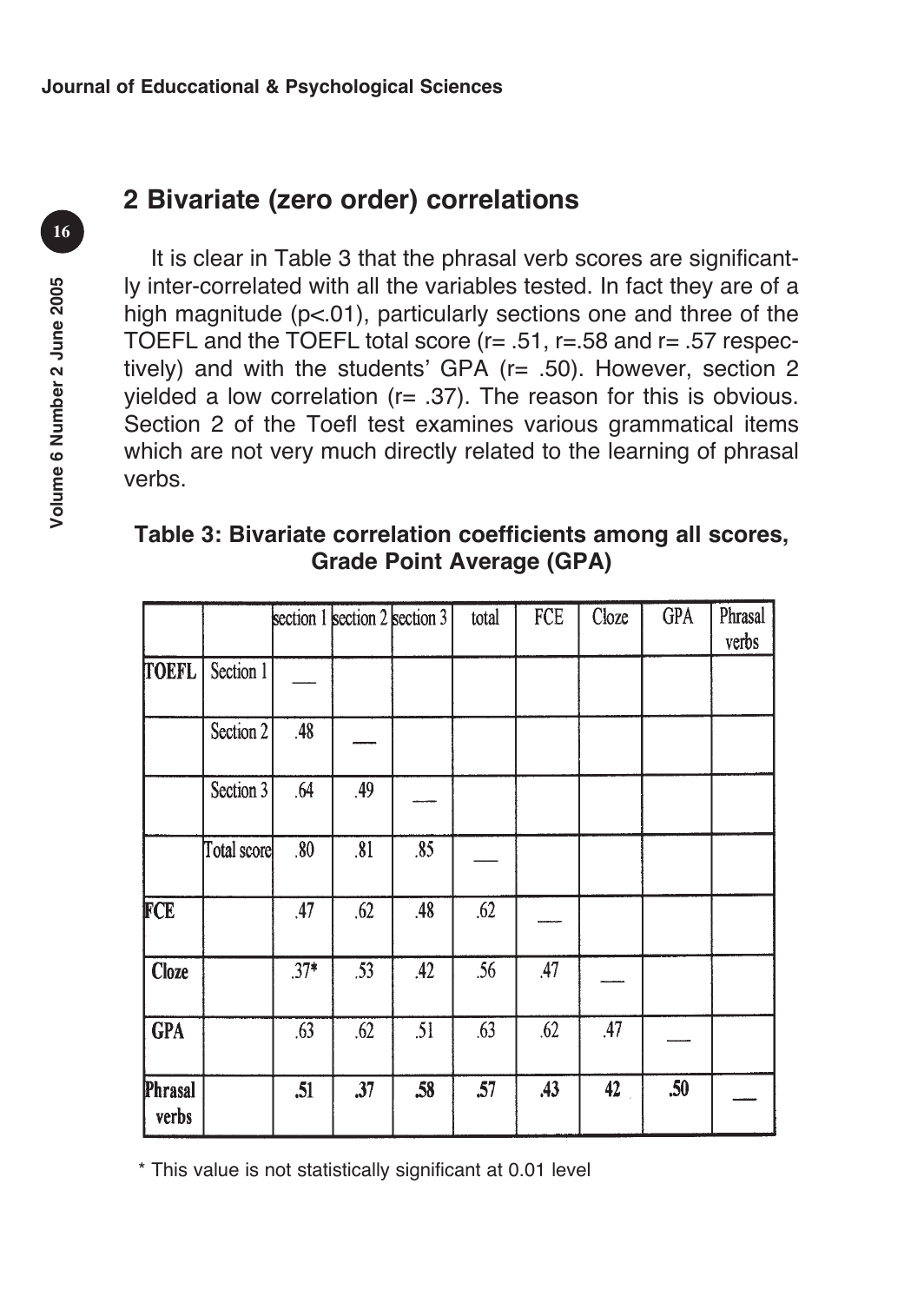**Journal of Educcational & Psychological Sciences**

# **2 Bivariate (zero order) correlations**

It is clear in Table 3 that the phrasal verb scores are significantly inter-correlated with all the variables tested. In fact they are of a high magnitude (p<.01), particularly sections one and three of the TOEFL and the TOEFL total score (r= .51, r=.58 and r= .57 respectively) and with the students' GPA (r= .50). However, section 2 yielded a low correlation ( $r = .37$ ). The reason for this is obvious. Section 2 of the Toefl test examines various grammatical items which are not very much directly related to the learning of phrasal verbs.

### **Table 3: Bivariate correlation coefficients among all scores, Grade Point Average (GPA)**

|                  |             |        | section 1 section 2 section 3 |     | total | FCE | Cloze | <b>GPA</b> | Phrasal<br>verbs |
|------------------|-------------|--------|-------------------------------|-----|-------|-----|-------|------------|------------------|
| <b>TOEFL</b>     | Section 1   |        |                               |     |       |     |       |            |                  |
|                  | Section 2   | .48    |                               |     |       |     |       |            |                  |
|                  | Section 3   | .64    | .49                           |     |       |     |       |            |                  |
|                  | Total score | .80    | .81                           | .85 |       |     |       |            |                  |
| FCE              |             | .47    | .62                           | .48 | .62   |     |       |            |                  |
| <b>Cloze</b>     |             | $.37*$ | .53                           | .42 | .56   | .47 |       |            |                  |
| <b>GPA</b>       |             | .63    | .62                           | .51 | .63   | .62 | .47   |            |                  |
| Phrasal<br>verbs |             | .51    | .37                           | .58 | .57   | .43 | 42    | .50        |                  |

\* This value is not statistically significant at 0.01 level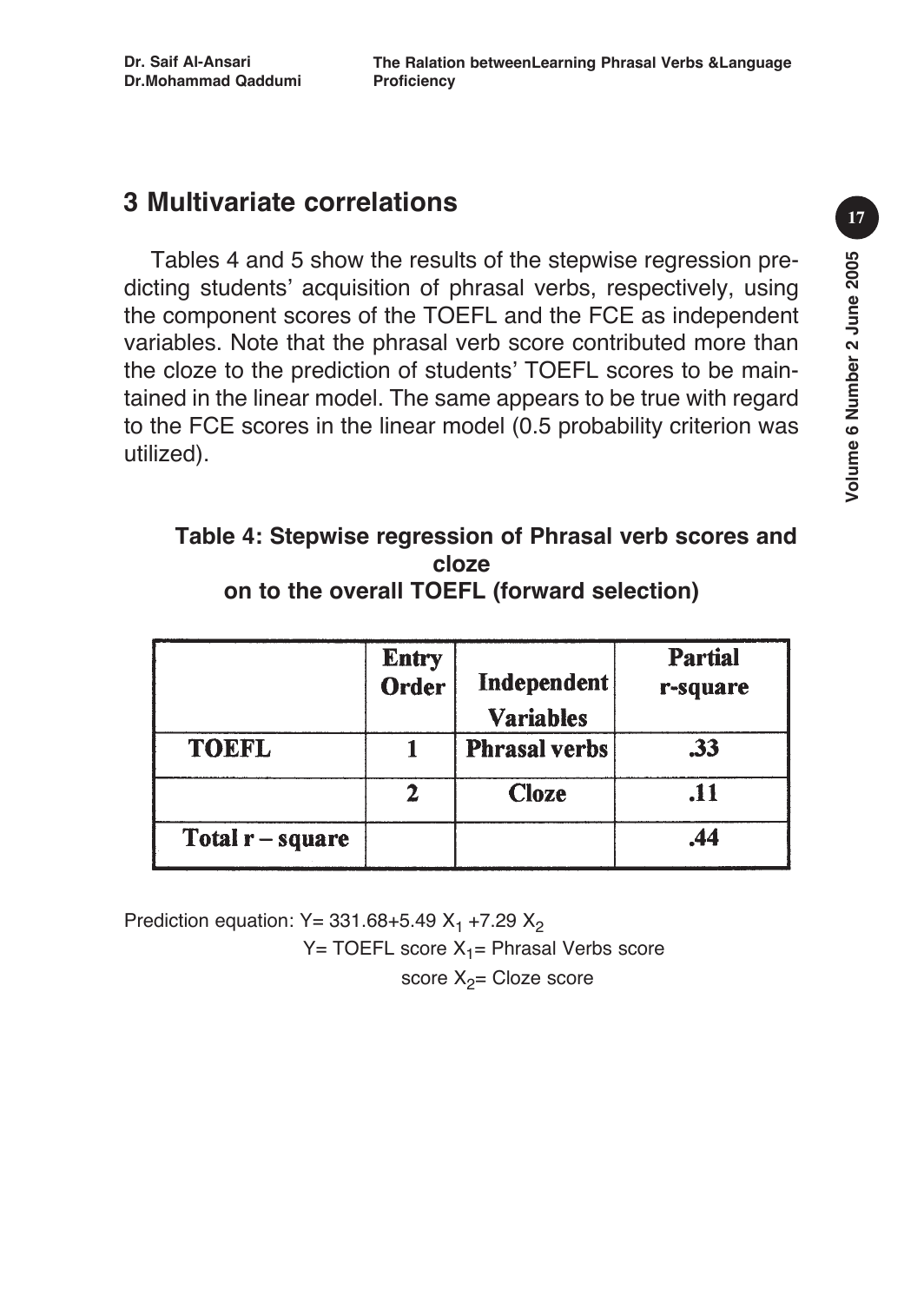## **3 Multivariate correlations**

Tables 4 and 5 show the results of the stepwise regression predicting students' acquisition of phrasal verbs, respectively, using the component scores of the TOEFL and the FCE as independent variables. Note that the phrasal verb score contributed more than the cloze to the prediction of students' TOEFL scores to be maintained in the linear model. The same appears to be true with regard to the FCE scores in the linear model (0.5 probability criterion was utilized).

#### **Table 4: Stepwise regression of Phrasal verb scores and cloze on to the overall TOEFL (forward selection)**

|                    | <b>Entry</b><br><b>Order</b> | <b>Independent</b><br><b>Variables</b> | <b>Partial</b><br>r-square |
|--------------------|------------------------------|----------------------------------------|----------------------------|
| <b>TOEFL</b>       |                              | <b>Phrasal verbs</b>                   | .33                        |
|                    | 2                            | <b>Cloze</b>                           | .11                        |
| Total $r$ – square |                              |                                        | .44                        |

Prediction equation: Y= 331.68+5.49  $X_1$  +7.29  $X_2$ 

Y= TOEFL score  $X_1$ = Phrasal Verbs score

score  $X_2$ = Cloze score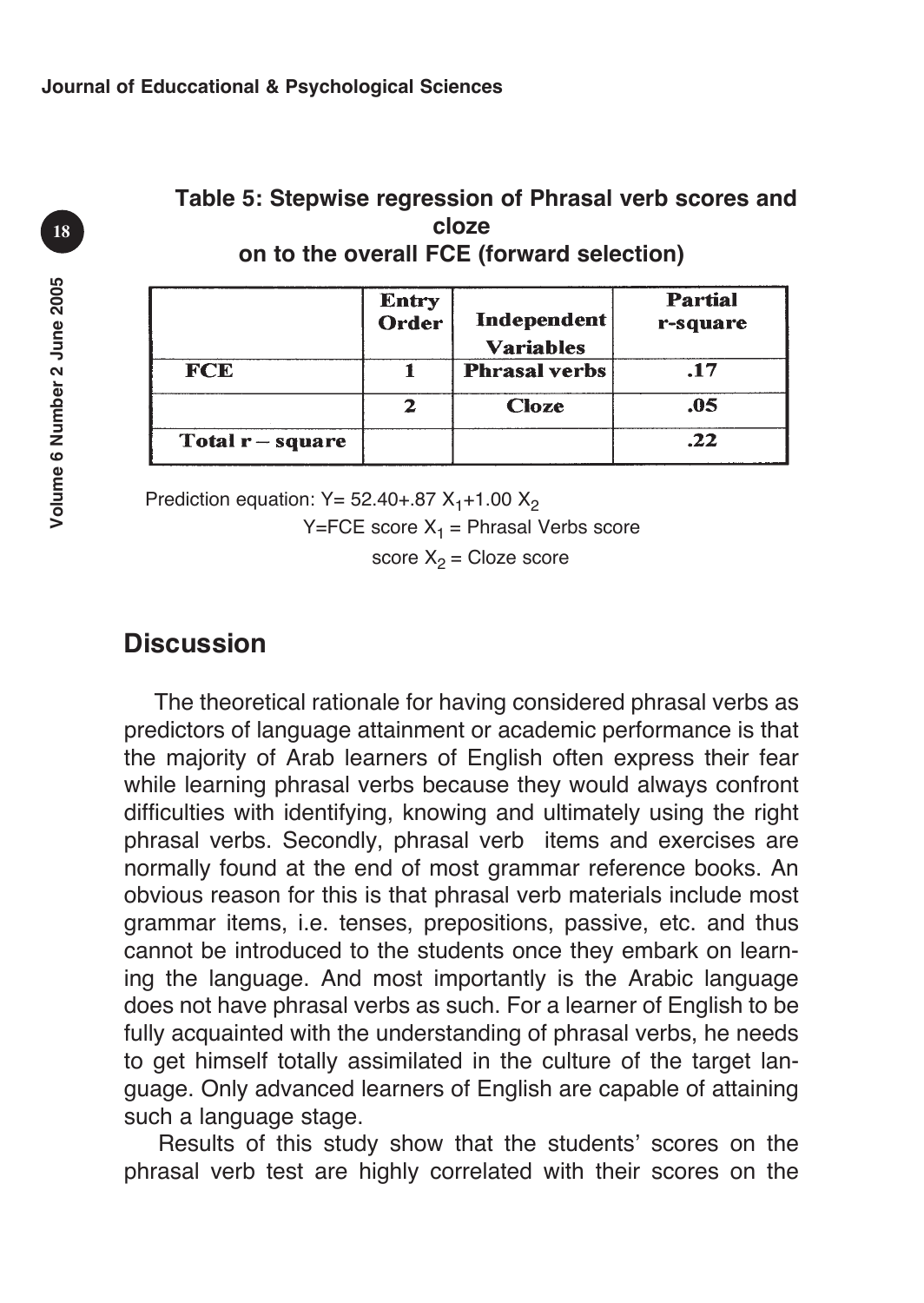|                    | Entry<br>Order | Independent<br><b>Variables</b> | <b>Partial</b><br>r-square |
|--------------------|----------------|---------------------------------|----------------------------|
| FCE                |                | <b>Phrasal verbs</b>            | .17                        |
|                    | 2              | <b>Cloze</b>                    | .05                        |
| Total $r - square$ |                |                                 | .22                        |

**Table 5: Stepwise regression of Phrasal verb scores and cloze on to the overall FCE (forward selection)**

Prediction equation:  $Y = 52.40 + .87 X_1 + 1.00 X_2$ 

Y=FCE score  $X_1$  = Phrasal Verbs score

score  $X_2$  = Cloze score

### **Discussion**

The theoretical rationale for having considered phrasal verbs as predictors of language attainment or academic performance is that the majority of Arab learners of English often express their fear while learning phrasal verbs because they would always confront difficulties with identifying, knowing and ultimately using the right phrasal verbs. Secondly, phrasal verb items and exercises are normally found at the end of most grammar reference books. An obvious reason for this is that phrasal verb materials include most grammar items, i.e. tenses, prepositions, passive, etc. and thus cannot be introduced to the students once they embark on learning the language. And most importantly is the Arabic language does not have phrasal verbs as such. For a learner of English to be fully acquainted with the understanding of phrasal verbs, he needs to get himself totally assimilated in the culture of the target language. Only advanced learners of English are capable of attaining such a language stage.

Results of this study show that the students' scores on the phrasal verb test are highly correlated with their scores on the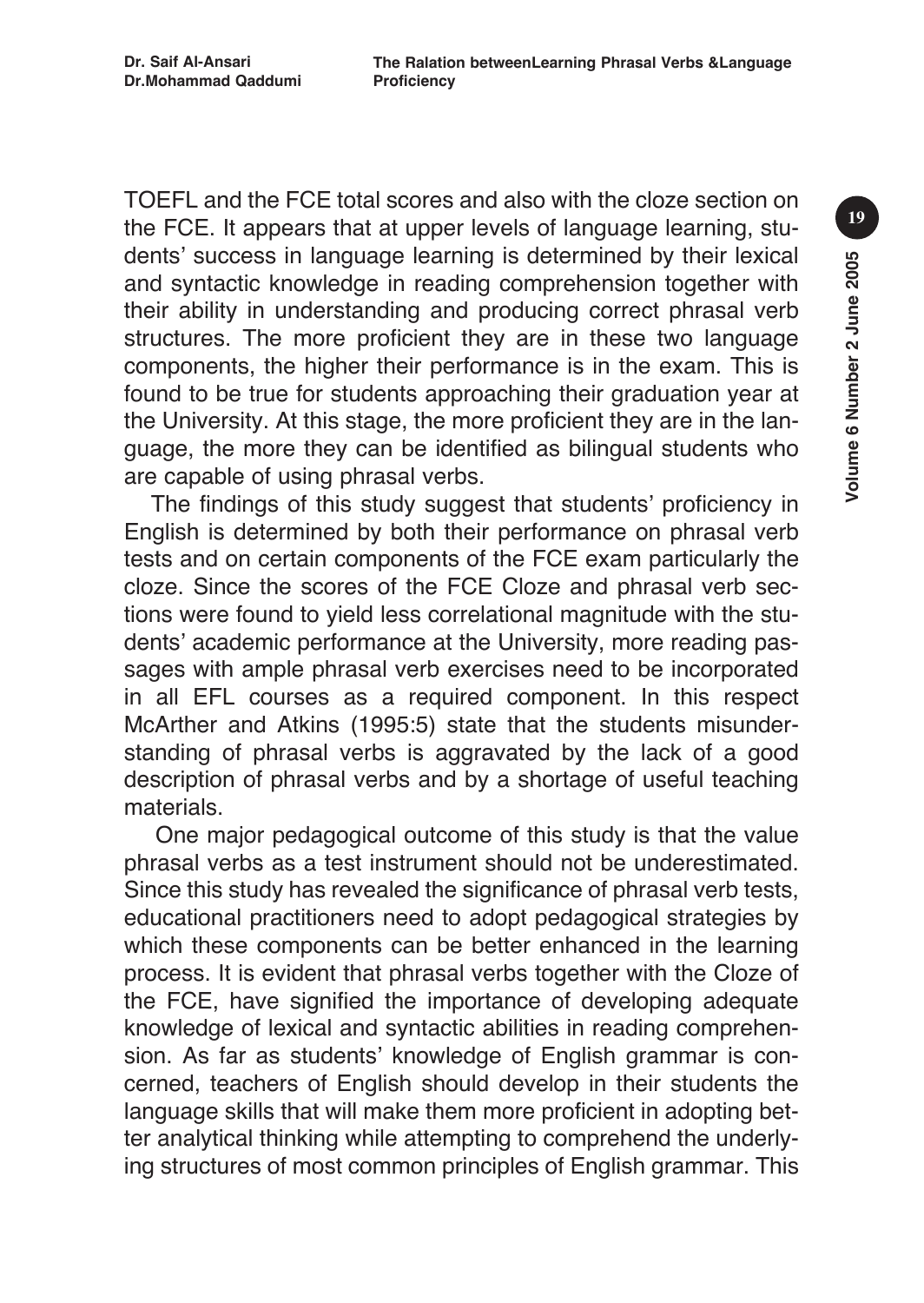TOEFL and the FCE total scores and also with the cloze section on the FCE. It appears that at upper levels of language learning, students' success in language learning is determined by their lexical and syntactic knowledge in reading comprehension together with their ability in understanding and producing correct phrasal verb structures. The more proficient they are in these two language components, the higher their performance is in the exam. This is found to be true for students approaching their graduation year at the University. At this stage, the more proficient they are in the language, the more they can be identified as bilingual students who are capable of using phrasal verbs.

The findings of this study suggest that students' proficiency in English is determined by both their performance on phrasal verb tests and on certain components of the FCE exam particularly the cloze. Since the scores of the FCE Cloze and phrasal verb sections were found to yield less correlational magnitude with the students' academic performance at the University, more reading passages with ample phrasal verb exercises need to be incorporated in all EFL courses as a required component. In this respect McArther and Atkins (1995:5) state that the students misunderstanding of phrasal verbs is aggravated by the lack of a good description of phrasal verbs and by a shortage of useful teaching materials.

One major pedagogical outcome of this study is that the value phrasal verbs as a test instrument should not be underestimated. Since this study has revealed the significance of phrasal verb tests, educational practitioners need to adopt pedagogical strategies by which these components can be better enhanced in the learning process. It is evident that phrasal verbs together with the Cloze of the FCE, have signified the importance of developing adequate knowledge of lexical and syntactic abilities in reading comprehension. As far as students' knowledge of English grammar is concerned, teachers of English should develop in their students the language skills that will make them more proficient in adopting better analytical thinking while attempting to comprehend the underlying structures of most common principles of English grammar. This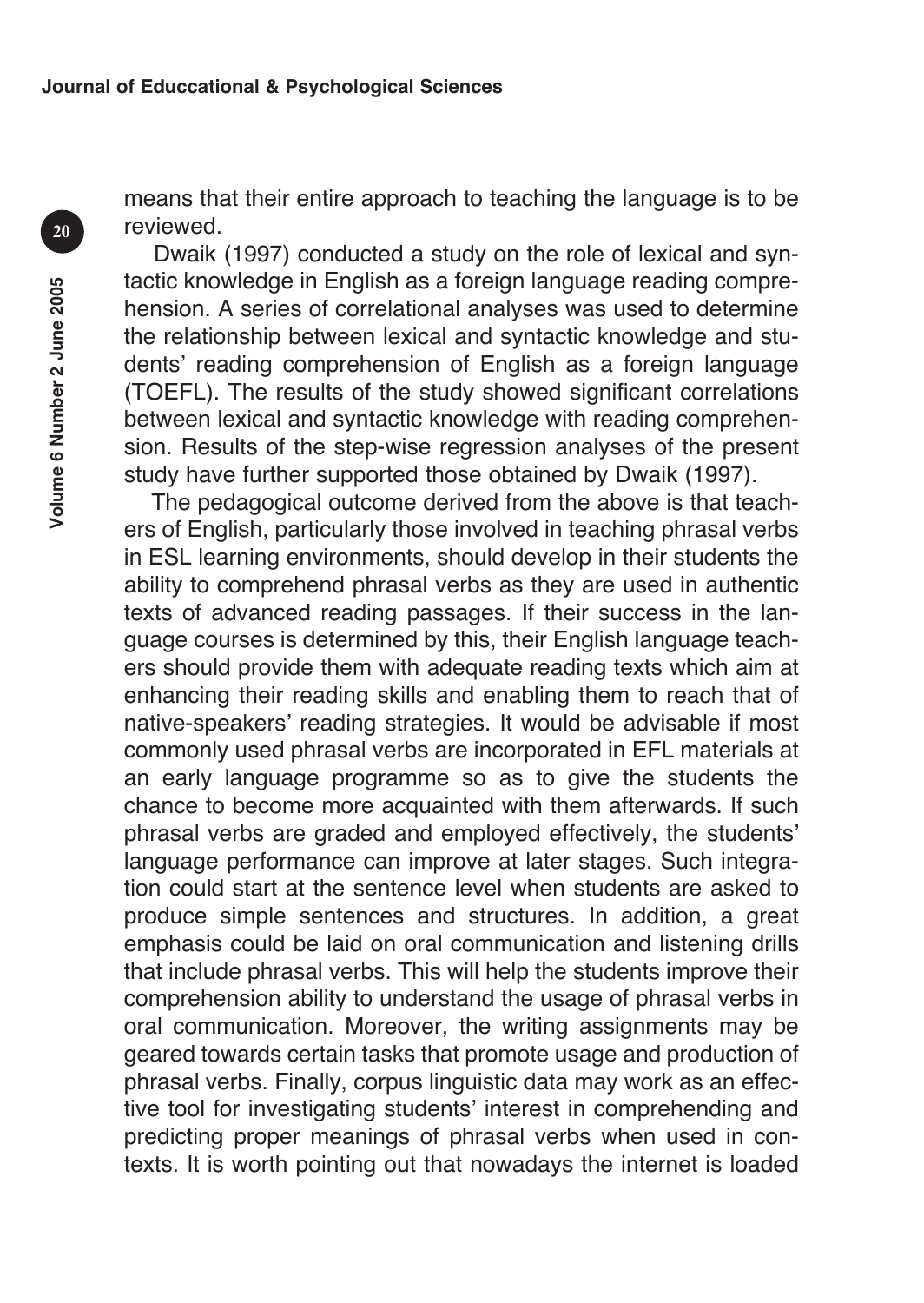means that their entire approach to teaching the language is to be reviewed.

Dwaik (1997) conducted a study on the role of lexical and syntactic knowledge in English as a foreign language reading comprehension. A series of correlational analyses was used to determine the relationship between lexical and syntactic knowledge and students' reading comprehension of English as a foreign language (TOEFL). The results of the study showed significant correlations between lexical and syntactic knowledge with reading comprehension. Results of the step-wise regression analyses of the present study have further supported those obtained by Dwaik (1997).

The pedagogical outcome derived from the above is that teachers of English, particularly those involved in teaching phrasal verbs in ESL learning environments, should develop in their students the ability to comprehend phrasal verbs as they are used in authentic texts of advanced reading passages. If their success in the language courses is determined by this, their English language teachers should provide them with adequate reading texts which aim at enhancing their reading skills and enabling them to reach that of native-speakers' reading strategies. It would be advisable if most commonly used phrasal verbs are incorporated in EFL materials at an early language programme so as to give the students the chance to become more acquainted with them afterwards. If such phrasal verbs are graded and employed effectively, the students' language performance can improve at later stages. Such integration could start at the sentence level when students are asked to produce simple sentences and structures. In addition, a great emphasis could be laid on oral communication and listening drills that include phrasal verbs. This will help the students improve their comprehension ability to understand the usage of phrasal verbs in oral communication. Moreover, the writing assignments may be geared towards certain tasks that promote usage and production of phrasal verbs. Finally, corpus linguistic data may work as an effective tool for investigating students' interest in comprehending and predicting proper meanings of phrasal verbs when used in contexts. It is worth pointing out that nowadays the internet is loaded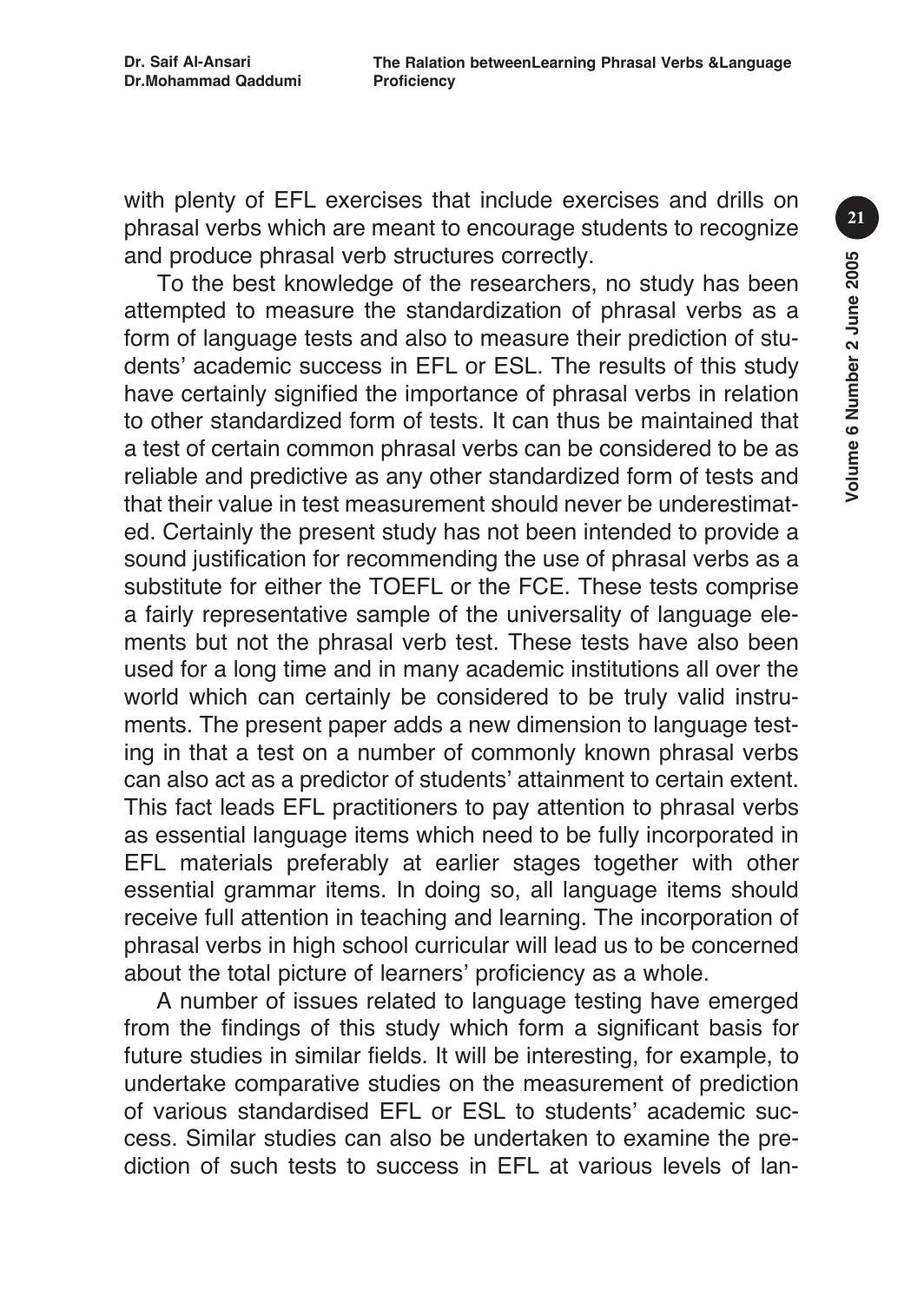with plenty of EFL exercises that include exercises and drills on phrasal verbs which are meant to encourage students to recognize and produce phrasal verb structures correctly.

To the best knowledge of the researchers, no study has been attempted to measure the standardization of phrasal verbs as a form of language tests and also to measure their prediction of students' academic success in EFL or ESL. The results of this study have certainly signified the importance of phrasal verbs in relation to other standardized form of tests. It can thus be maintained that a test of certain common phrasal verbs can be considered to be as reliable and predictive as any other standardized form of tests and that their value in test measurement should never be underestimated. Certainly the present study has not been intended to provide a sound justification for recommending the use of phrasal verbs as a substitute for either the TOEFL or the FCE. These tests comprise a fairly representative sample of the universality of language elements but not the phrasal verb test. These tests have also been used for a long time and in many academic institutions all over the world which can certainly be considered to be truly valid instruments. The present paper adds a new dimension to language testing in that a test on a number of commonly known phrasal verbs can also act as a predictor of students' attainment to certain extent. This fact leads EFL practitioners to pay attention to phrasal verbs as essential language items which need to be fully incorporated in EFL materials preferably at earlier stages together with other essential grammar items. In doing so, all language items should receive full attention in teaching and learning. The incorporation of phrasal verbs in high school curricular will lead us to be concerned about the total picture of learners' proficiency as a whole.

A number of issues related to language testing have emerged from the findings of this study which form a significant basis for future studies in similar fields. It will be interesting, for example, to undertake comparative studies on the measurement of prediction of various standardised EFL or ESL to students' academic success. Similar studies can also be undertaken to examine the prediction of such tests to success in EFL at various levels of lan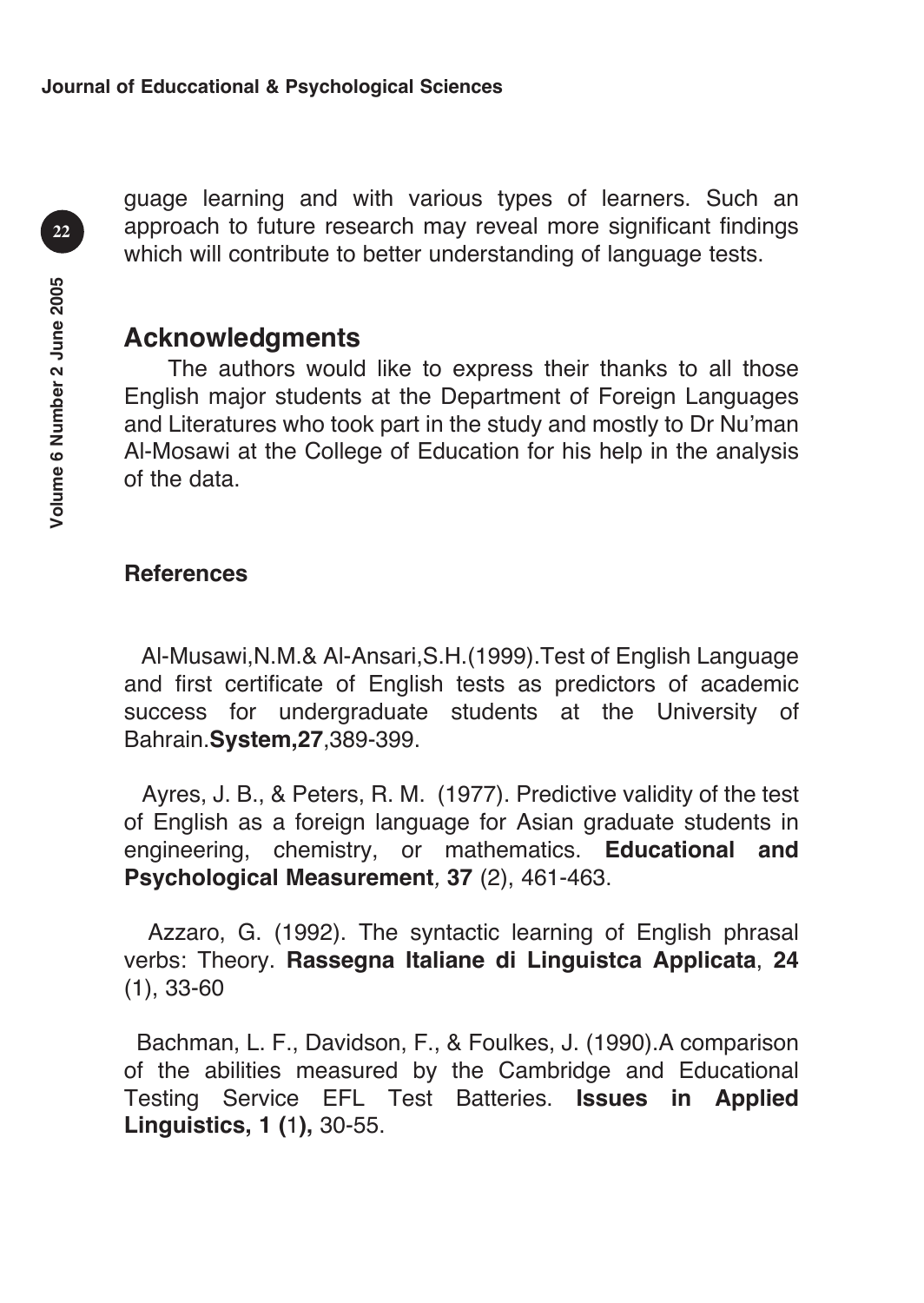guage learning and with various types of learners. Such an approach to future research may reveal more significant findings which will contribute to better understanding of language tests.

#### **Acknowledgments**

The authors would like to express their thanks to all those English major students at the Department of Foreign Languages and Literatures who took part in the study and mostly to Dr Nu'man Al-Mosawi at the College of Education for his help in the analysis of the data.

#### **References**

Al-Musawi,N.M.& Al-Ansari,S.H.(1999).Test of English Language and first certificate of English tests as predictors of academic success for undergraduate students at the University of Bahrain.**System,27**,389-399.

Ayres, J. B., & Peters, R. M. (1977). Predictive validity of the test of English as a foreign language for Asian graduate students in engineering, chemistry, or mathematics. **Educational and Psychological Measurement***,* **37** (2), 461-463.

Azzaro, G. (1992). The syntactic learning of English phrasal verbs: Theory. **Rassegna Italiane di Linguistca Applicata**, **24** (1), 33-60

Bachman, L. F., Davidson, F., & Foulkes, J. (1990).A comparison of the abilities measured by the Cambridge and Educational Testing Service EFL Test Batteries. **Issues in Applied Linguistics, 1 (**1**),** 30-55.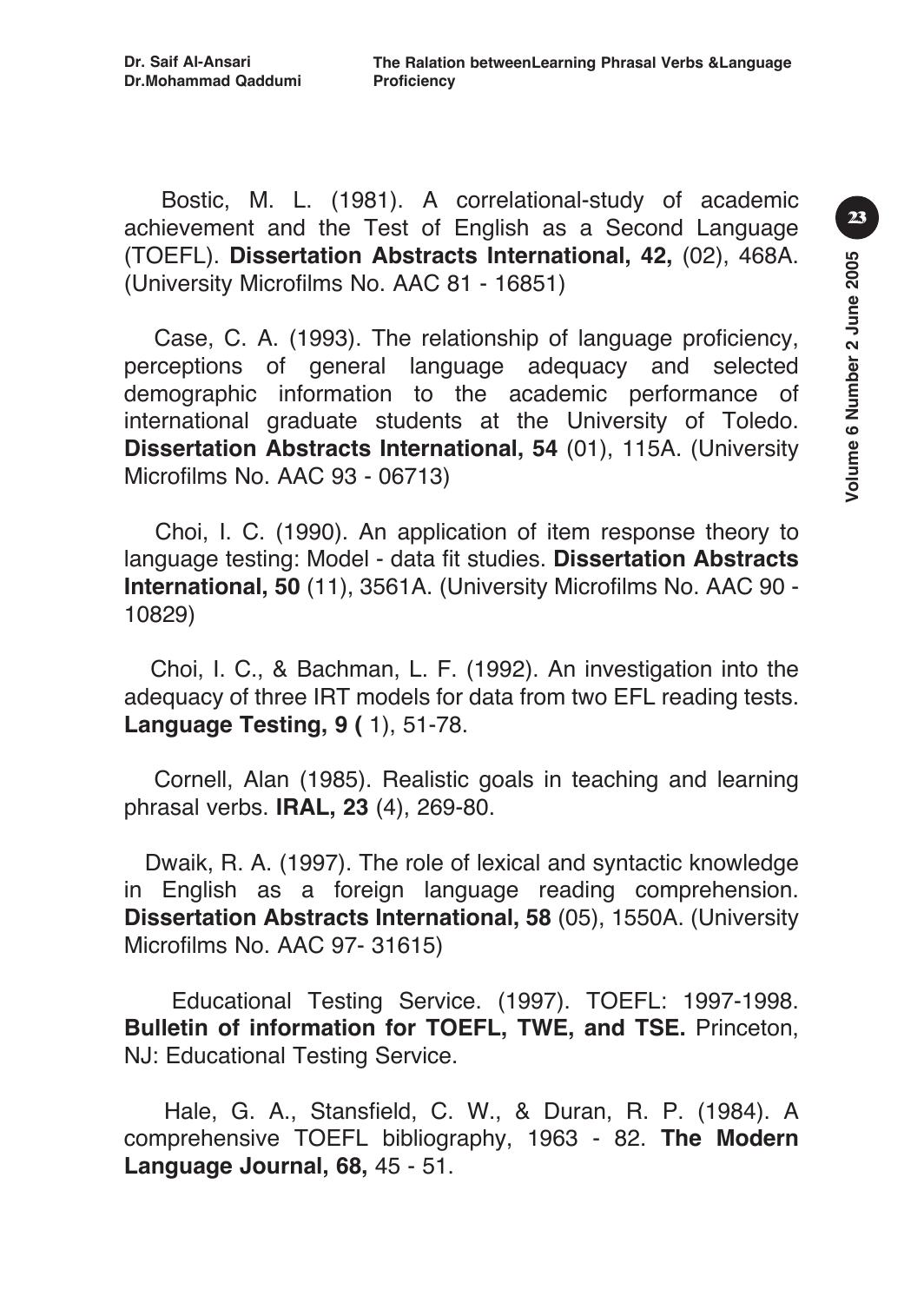**<sup>23</sup>** Bostic, M. L. (1981). A correlational-study of academic achievement and the Test of English as a Second Language (TOEFL). **Dissertation Abstracts International, 42,** (02), 468A. (University Microfilms No. AAC 81 - 16851)

Case, C. A. (1993). The relationship of language proficiency, perceptions of general language adequacy and selected demographic information to the academic performance of international graduate students at the University of Toledo. **Dissertation Abstracts International, 54** (01), 115A. (University Microfilms No. AAC 93 - 06713)

Choi, I. C. (1990). An application of item response theory to language testing: Model - data fit studies. **Dissertation Abstracts International, 50** (11), 3561A. (University Microfilms No. AAC 90 - 10829)

Choi, I. C., & Bachman, L. F. (1992). An investigation into the adequacy of three IRT models for data from two EFL reading tests. **Language Testing, 9 (** 1), 51-78.

Cornell, Alan (1985). Realistic goals in teaching and learning phrasal verbs. **IRAL, 23** (4), 269-80.

Dwaik, R. A. (1997). The role of lexical and syntactic knowledge in English as a foreign language reading comprehension. **Dissertation Abstracts International, 58** (05), 1550A. (University Microfilms No. AAC 97- 31615)

Educational Testing Service. (1997). TOEFL: 1997-1998. **Bulletin of information for TOEFL, TWE, and TSE.** Princeton, NJ: Educational Testing Service.

Hale, G. A., Stansfield, C. W., & Duran, R. P. (1984). A comprehensive TOEFL bibliography, 1963 - 82. **The Modern Language Journal, 68,** 45 - 51.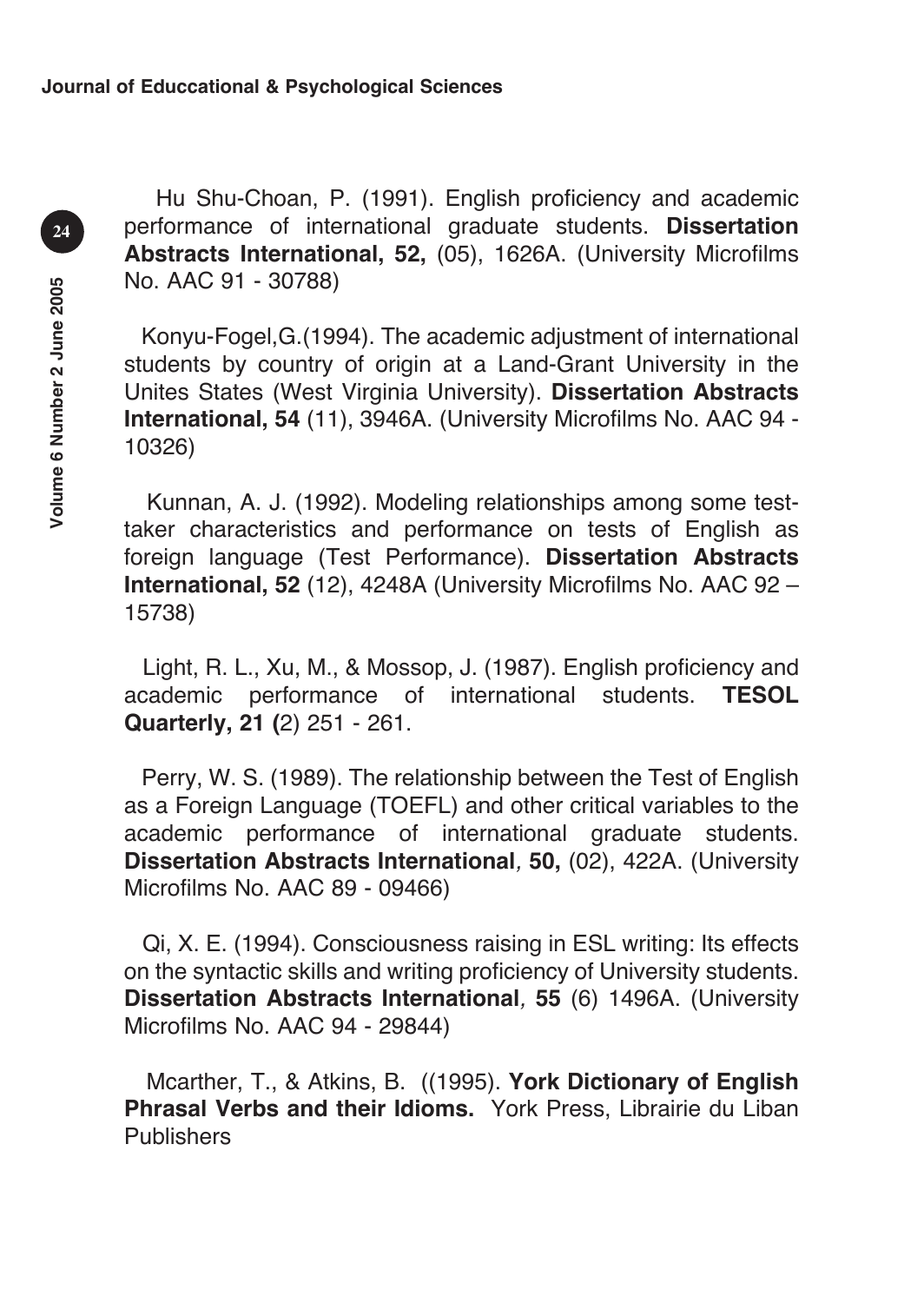**<sup>25</sup>** Hu Shu-Choan, P. (1991). English proficiency and academic performance of international graduate students. **Dissertation Abstracts International, 52,** (05), 1626A. (University Microfilms No. AAC 91 - 30788)

Konyu-Fogel,G.(1994). The academic adjustment of international students by country of origin at a Land-Grant University in the Unites States (West Virginia University). **Dissertation Abstracts International, 54** (11), 3946A. (University Microfilms No. AAC 94 - 10326)

Kunnan, A. J. (1992). Modeling relationships among some testtaker characteristics and performance on tests of English as foreign language (Test Performance). **Dissertation Abstracts International, 52** (12), 4248A (University Microfilms No. AAC 92 – 15738)

Light, R. L., Xu, M., & Mossop, J. (1987). English proficiency and academic performance of international students. **TESOL Quarterly, 21 (**2) 251 - 261.

Perry, W. S. (1989). The relationship between the Test of English as a Foreign Language (TOEFL) and other critical variables to the academic performance of international graduate students. **Dissertation Abstracts International***,* **50,** (02), 422A. (University Microfilms No. AAC 89 - 09466)

Qi, X. E. (1994). Consciousness raising in ESL writing: Its effects on the syntactic skills and writing proficiency of University students. **Dissertation Abstracts International***,* **55** (6) 1496A. (University Microfilms No. AAC 94 - 29844)

Mcarther, T., & Atkins, B. ((1995). **York Dictionary of English Phrasal Verbs and their Idioms.** York Press, Librairie du Liban **Publishers**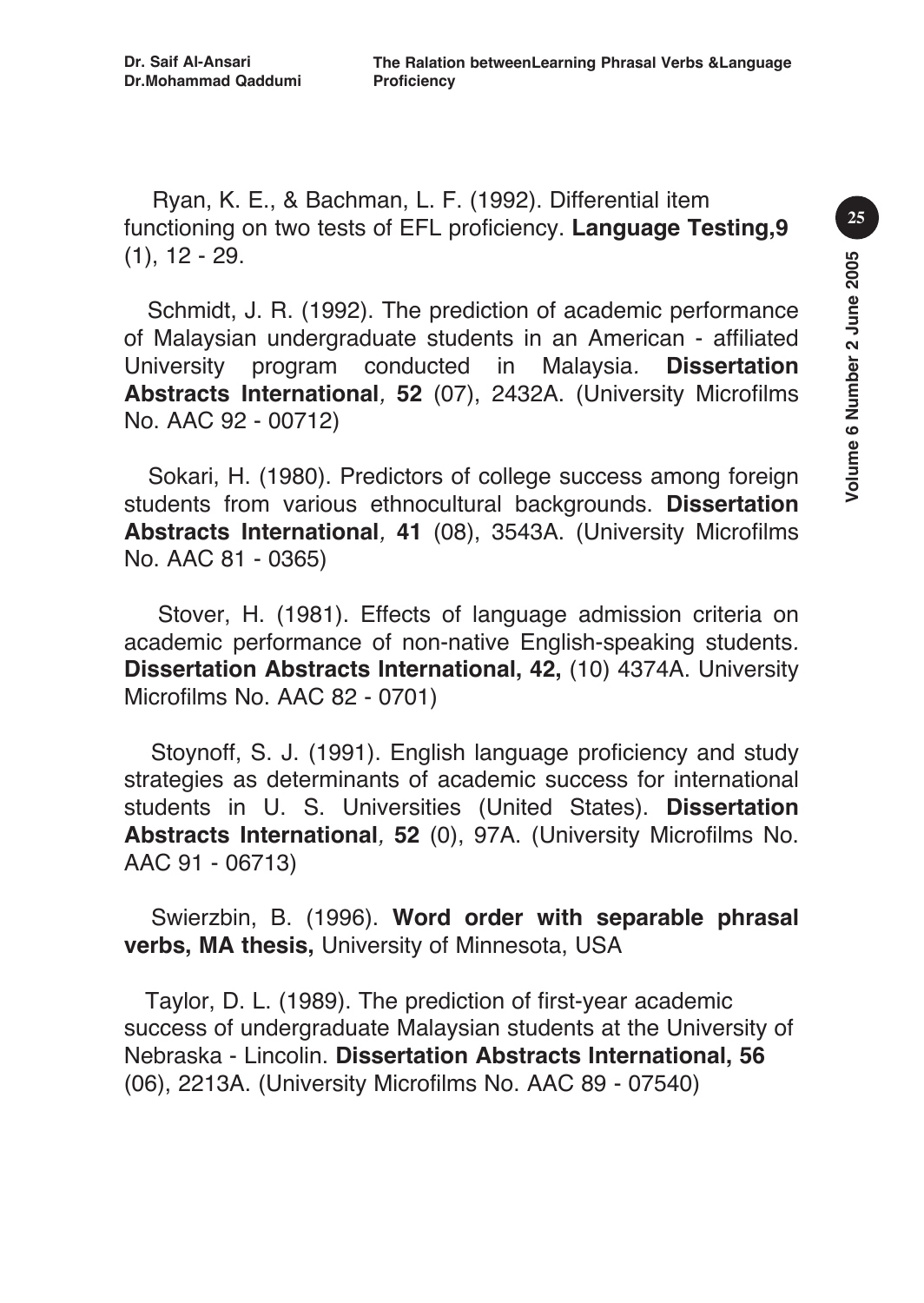Ryan, K. E., & Bachman, L. F. (1992). Differential item functioning on two tests of EFL proficiency. **Language Testing,9** (1), 12 - 29.

Schmidt, J. R. (1992). The prediction of academic performance of Malaysian undergraduate students in an American - affiliated University program conducted in Malaysia*.* **Dissertation Abstracts International***,* **52** (07), 2432A. (University Microfilms No. AAC 92 - 00712)

Sokari, H. (1980). Predictors of college success among foreign students from various ethnocultural backgrounds. **Dissertation Abstracts International***,* **41** (08), 3543A. (University Microfilms No. AAC 81 - 0365)

Stover, H. (1981). Effects of language admission criteria on academic performance of non-native English-speaking students*.* **Dissertation Abstracts International, 42,** (10) 4374A. University Microfilms No. AAC 82 - 0701)

Stoynoff, S. J. (1991). English language proficiency and study strategies as determinants of academic success for international students in U. S. Universities (United States). **Dissertation Abstracts International***,* **52** (0), 97A. (University Microfilms No. AAC 91 - 06713)

Swierzbin, B. (1996). **Word order with separable phrasal verbs, MA thesis,** University of Minnesota, USA

Taylor, D. L. (1989). The prediction of first-year academic success of undergraduate Malaysian students at the University of Nebraska - Lincolin. **Dissertation Abstracts International, 56** (06), 2213A. (University Microfilms No. AAC 89 - 07540)